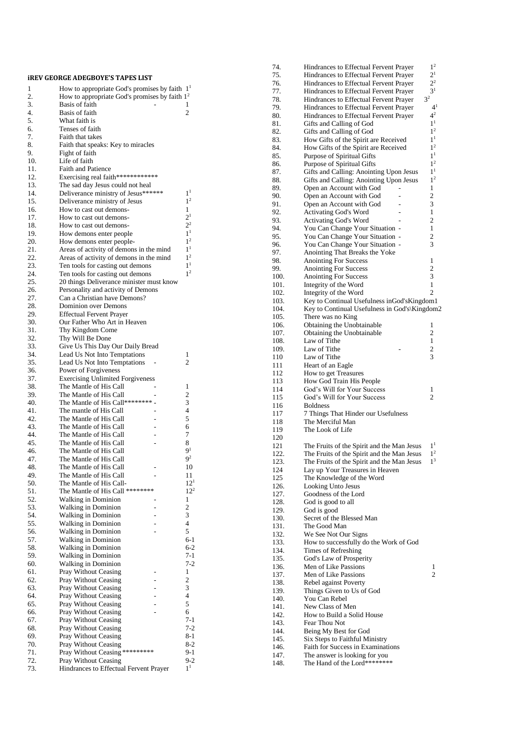|            | iREV GEORGE ADEGBOYE'S TAPES LIST                                              |                                  |
|------------|--------------------------------------------------------------------------------|----------------------------------|
| 1          | How to appropriate God's promises by faith 1 <sup>1</sup>                      |                                  |
| 2.<br>3.   | How to appropriate God's promises by faith $12$<br>Basis of faith              | 1                                |
| 4.         | Basis of faith                                                                 | $\overline{c}$                   |
| 5.         | What faith is                                                                  |                                  |
| 6.         | Tenses of faith                                                                |                                  |
| 7.<br>8.   | Faith that takes<br>Faith that speaks: Key to miracles                         |                                  |
| 9.         | Fight of faith                                                                 |                                  |
| 10.        | Life of faith                                                                  |                                  |
| 11.<br>12. | <b>Faith and Patience</b><br>Exercising real faith*************                |                                  |
| 13.        | The sad day Jesus could not heal                                               |                                  |
| 14.        | Deliverance ministry of Jesus******                                            | 1 <sup>1</sup>                   |
| 15.        | Deliverance ministry of Jesus                                                  | 1 <sup>2</sup>                   |
| 16.<br>17. | How to cast out demons-<br>How to cast out demons-                             | 1<br>2 <sup>1</sup>              |
| 18.        | How to cast out demons-                                                        | $2^2$                            |
| 19.        | How demons enter people                                                        | 1 <sup>1</sup>                   |
| 20.<br>21. | How demons enter people-<br>Areas of activity of demons in the mind            | 1 <sup>2</sup><br>1 <sup>1</sup> |
| 22.        | Areas of activity of demons in the mind                                        | 1 <sup>2</sup>                   |
| 23.        | Ten tools for casting out demons                                               | 1 <sup>1</sup>                   |
| 24.        | Ten tools for casting out demons                                               | 1 <sup>2</sup>                   |
| 25.<br>26. | 20 things Deliverance minister must know<br>Personality and activity of Demons |                                  |
| 27.        | Can a Christian have Demons?                                                   |                                  |
| 28.        | <b>Dominion over Demons</b>                                                    |                                  |
| 29.<br>30. | <b>Effectual Fervent Prayer</b><br>Our Father Who Art in Heaven                |                                  |
| 31.        | Thy Kingdom Come                                                               |                                  |
| 32.        | Thy Will Be Done                                                               |                                  |
| 33.        | Give Us This Day Our Daily Bread                                               |                                  |
| 34.<br>35. | Lead Us Not Into Temptations<br>Lead Us Not Into Temptations                   | 1<br>2                           |
| 36.        | Power of Forgiveness                                                           |                                  |
| 37.        | <b>Exercising Unlimited Forgiveness</b>                                        |                                  |
| 38.        | The Mantle of His Call                                                         | 1                                |
| 39.<br>40. | The Mantle of His Call<br>The Mantle of His Call******** -                     | 2<br>3                           |
| 41.        | The mantle of His Call                                                         | 4                                |
| 42.        | The Mantle of His Call                                                         | 5                                |
| 43.<br>44. | The Mantle of His Call<br>The Mantle of His Call<br>$\overline{a}$             | 6<br>7                           |
| 45.        | The Mantle of His Call                                                         | 8                                |
| 46.        | The Mantle of His Call                                                         | 9 <sup>1</sup>                   |
| 47.        | The Mantle of His Call                                                         | $\mathbf{Q}^2$                   |
| 48.<br>49. | The Mantle of His Call<br>The Mantle of His Call                               | 10<br>11                         |
| 50.        | The Mantle of His Call-                                                        | 12 <sup>1</sup>                  |
| 51.        | The Mantle of His Call ********                                                | $12^{2}$                         |
| 52.<br>53. | Walking in Dominion<br>Walking in Dominion                                     | 1<br>$\overline{c}$              |
| 54.        | Walking in Dominion                                                            | 3                                |
| 55.        | Walking in Dominion<br>$\overline{a}$                                          | 4                                |
| 56.<br>57. | Walking in Dominion<br>ä,                                                      | 5                                |
| 58.        | Walking in Dominion<br><b>Walking in Dominion</b>                              | $6-1$<br>$6 - 2$                 |
| 59.        | Walking in Dominion                                                            | $7-1$                            |
| 60.        | Walking in Dominion                                                            | $7 - 2$                          |
| 61.<br>62. | Pray Without Ceasing<br>Pray Without Ceasing                                   | 1<br>2                           |
| 63.        | Pray Without Ceasing                                                           | 3                                |
| 64.        | Pray Without Ceasing                                                           | 4                                |
| 65.        | Pray Without Ceasing                                                           | 5                                |
| 66.<br>67. | Pray Without Ceasing<br>Pray Without Ceasing                                   | 6<br>$7-1$                       |
| 68.        | Pray Without Ceasing                                                           | $7 - 2$                          |
| 69.        | Pray Without Ceasing                                                           | $8-1$                            |
| 70.<br>71. | Pray Without Ceasing<br>Pray Without Ceasing *********                         | $8-2$<br>9-1                     |
| 72.        | Pray Without Ceasing                                                           | $9 - 2$                          |
| 73.        | Hindrances to Effectual Fervent Prayer                                         | 1 <sup>1</sup>                   |

| 74.          | Hindrances to Effectual Fervent Prayer                                                   | 1 <sup>2</sup>          |
|--------------|------------------------------------------------------------------------------------------|-------------------------|
| 75.          | Hindrances to Effectual Fervent Prayer                                                   | 2 <sup>1</sup>          |
| 76.          | Hindrances to Effectual Fervent Prayer                                                   | 2 <sup>2</sup>          |
| 77.          | Hindrances to Effectual Fervent Prayer                                                   | 3 <sup>1</sup>          |
| 78.          | Hindrances to Effectual Fervent Prayer                                                   | $3^2$                   |
| 79.          | Hindrances to Effectual Fervent Prayer                                                   | 4 <sup>1</sup>          |
| 80.          | Hindrances to Effectual Fervent Prayer                                                   | 4 <sup>2</sup>          |
| 81.          | Gifts and Calling of God                                                                 | 1 <sup>1</sup>          |
| 82.          | Gifts and Calling of God                                                                 | 1 <sup>2</sup>          |
| 83.          | How Gifts of the Spirit are Received                                                     | 1 <sup>1</sup>          |
| 84.          | How Gifts of the Spirit are Received                                                     | 1 <sup>2</sup>          |
| 85.          | Purpose of Spiritual Gifts                                                               | $1^1$                   |
| 86.          | Purpose of Spiritual Gifts                                                               | 1 <sup>2</sup><br>$1^1$ |
| 87.          | Gifts and Calling: Anointing Upon Jesus                                                  | 1 <sup>2</sup>          |
| 88.<br>89.   | Gifts and Calling: Anointing Upon Jesus<br>Open an Account with God                      | 1                       |
| 90.          | Open an Account with God                                                                 | $\overline{c}$          |
| 91.          | Open an Account with God                                                                 | 3                       |
| 92.          | <b>Activating God's Word</b>                                                             | 1                       |
| 93.          | Activating God's Word                                                                    | $\overline{c}$          |
| 94.          | You Can Change Your Situation -                                                          | 1                       |
| 95.          | You Can Change Your Situation -                                                          | $\overline{c}$          |
| 96.          | You Can Change Your Situation -                                                          | 3                       |
| 97.          | Anointing That Breaks the Yoke                                                           |                         |
| 98.          | <b>Anointing For Success</b>                                                             | 1                       |
| 99.          | <b>Anointing For Success</b>                                                             | $\overline{c}$          |
| 100.         | <b>Anointing For Success</b>                                                             | 3                       |
| 101.         | Integrity of the Word                                                                    | 1                       |
| 102.         | Integrity of the Word                                                                    | $\overline{c}$          |
| 103.         | Key to Continual Usefulness inGod's Kingdom1                                             |                         |
| 104.         | Key to Continual Usefulness in God's\Kingdom2                                            |                         |
| 105.         | There was no King                                                                        |                         |
| 106.         | Obtaining the Unobtainable                                                               | 1                       |
| 107.         | Obtaining the Unobtainable                                                               | 2                       |
| 108.         | Law of Tithe                                                                             | 1                       |
| 109.         | Law of Tithe                                                                             | 2                       |
| 110          | Law of Tithe                                                                             | 3                       |
| 111          | Heart of an Eagle                                                                        |                         |
| 112          | How to get Treasures                                                                     |                         |
| 113          | How God Train His People                                                                 |                         |
| 114          | God's Will for Your Success                                                              | 1                       |
| 115          | God's Will for Your Success                                                              | $\overline{2}$          |
| 116          | <b>Boldness</b>                                                                          |                         |
| 117          | 7 Things That Hinder our Usefulness                                                      |                         |
| 118          | The Merciful Man                                                                         |                         |
| 119          | The Look of Life                                                                         |                         |
| 120          |                                                                                          | $1^1$                   |
| 121          | The Fruits of the Spirit and the Man Jesus                                               | 1 <sup>2</sup>          |
| 122.<br>123. | The Fruits of the Spirit and the Man Jesus<br>The Fruits of the Spirit and the Man Jesus | $1^3$                   |
| 124          | Lay up Your Treasures in Heaven                                                          |                         |
| 125          | The Knowledge of the Word                                                                |                         |
| 126.         | Looking Unto Jesus                                                                       |                         |
| 127.         | Goodness of the Lord                                                                     |                         |
| 128.         | God is good to all                                                                       |                         |
| 129.         | God is good                                                                              |                         |
| 130.         | Secret of the Blessed Man                                                                |                         |
| 131.         | The Good Man                                                                             |                         |
| 132.         | We See Not Our Signs                                                                     |                         |
| 133.         | How to successfully do the Work of God                                                   |                         |
| 134.         | Times of Refreshing                                                                      |                         |
| 135.         | God's Law of Prosperity                                                                  |                         |
| 136.         | Men of Like Passions                                                                     | 1                       |
| 137.         | Men of Like Passions                                                                     | 2                       |
| 138.         | Rebel against Poverty                                                                    |                         |
| 139.         | Things Given to Us of God                                                                |                         |
| 140.         | You Can Rebel                                                                            |                         |
| 141.         | New Class of Men                                                                         |                         |
| 142.         | How to Build a Solid House                                                               |                         |
| 143.         | Fear Thou Not                                                                            |                         |
| 144.         | Being My Best for God                                                                    |                         |
| 145.         | Six Steps to Faithful Ministry                                                           |                         |
| 146.         | Faith for Success in Examinations                                                        |                         |
| 147.         | The answer is looking for you                                                            |                         |
| 148.         | The Hand of the Lord********                                                             |                         |
|              |                                                                                          |                         |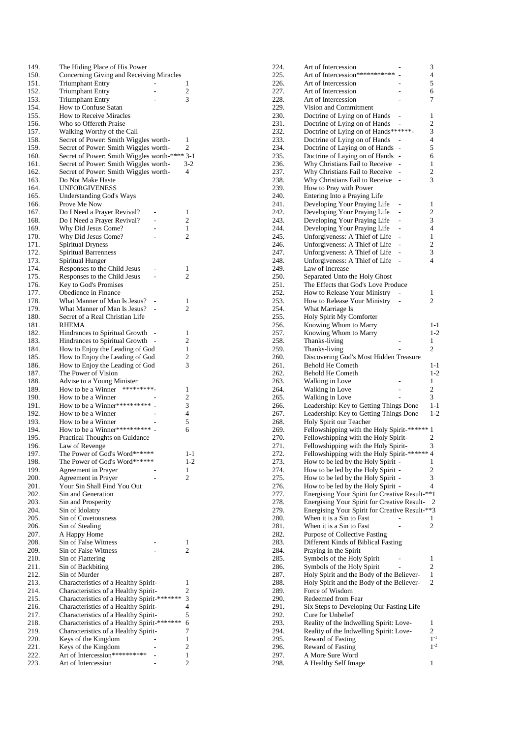| 149.         | The Hiding Place of His Power                                     |                |
|--------------|-------------------------------------------------------------------|----------------|
| 150.         | Concerning Giving and Receiving Miracles                          |                |
| 151.         | <b>Triumphant Entry</b>                                           | 1              |
| 152.         | <b>Triumphant Entry</b>                                           | 2              |
| 153.         | Triumphant Entry<br>How to Confuse Satan                          | 3              |
| 154.<br>155. | How to Receive Miracles                                           |                |
| 156.         | Who so Offereth Praise                                            |                |
| 157.         | Walking Worthy of the Call                                        |                |
| 158.         | Secret of Power: Smith Wiggles worth-                             | 1              |
| 159.         | Secret of Power: Smith Wiggles worth-                             | $\overline{2}$ |
| 160.         | Secret of Power: Smith Wiggles worth-**** 3-1                     |                |
| 161.         | Secret of Power: Smith Wiggles worth-                             | $3-2$          |
| 162.         | Secret of Power: Smith Wiggles worth-                             | 4              |
| 163.<br>164. | Do Not Make Haste<br><b>UNFORGIVENESS</b>                         |                |
| 165.         | <b>Understanding God's Ways</b>                                   |                |
| 166.         | Prove Me Now                                                      |                |
| 167.         | Do I Need a Prayer Revival?                                       | 1              |
| 168.         | Do I Need a Prayer Revival?                                       | 2              |
| 169.         | Why Did Jesus Come?                                               | 1              |
| 170.         | Why Did Jesus Come?                                               | $\overline{2}$ |
| 171.         | <b>Spiritual Dryness</b>                                          |                |
| 172.         | <b>Spiritual Barrenness</b>                                       |                |
| 173.<br>174. | Spiritual Hunger<br>Responses to the Child Jesus                  | 1              |
| 175.         | Responses to the Child Jesus                                      | 2              |
| 176.         | Key to God's Promises                                             |                |
| 177.         | Obedience in Finance                                              |                |
| 178.         | What Manner of Man Is Jesus?                                      | 1              |
| 179.         | What Manner of Man Is Jesus?                                      | 2              |
| 180.         | Secret of a Real Christian Life                                   |                |
| 181.         | RHEMA                                                             |                |
| 182.         | Hindrances to Spiritual Growth                                    | 1<br>2         |
| 183.<br>184. | Hindrances to Spiritual Growth<br>How to Enjoy the Leading of God | 1              |
| 185.         | How to Enjoy the Leading of God                                   | $\overline{c}$ |
| 186.         | How to Enjoy the Leading of God                                   | 3              |
| 187.         | The Power of Vision                                               |                |
| 188.         | Advise to a Young Minister                                        |                |
| 189.         | *********_<br>How to be a Winner                                  | 1              |
| 190.         | How to be a Winner                                                | 2              |
| 191.         | How to be a Winner***********                                     | 3              |
| 192.<br>193. | How to be a Winner<br>How to be a Winner                          | 4<br>5         |
| 194.         | How to be a Winner**********                                      | 6              |
| 195.         | Practical Thoughts on Guidance                                    |                |
| 196.         | Law of Revenge                                                    |                |
| 197.         | The Power of God's Word******                                     | 1-1            |
| 198.         | The Power of God's Word******                                     | $1 - 2$        |
| 199.         | Agreement in Prayer                                               | 1              |
| 200.         | Agreement in Prayer                                               | 2              |
| 201.<br>202. | Your Sin Shall Find You Out<br>Sin and Generation                 |                |
| 203.         | Sin and Prosperity                                                |                |
| 204.         | Sin of Idolatry                                                   |                |
| 205.         | Sin of Covetousness                                               |                |
| 206.         | Sin of Stealing                                                   |                |
| 207.         | A Happy Home                                                      |                |
| 208.         | Sin of False Witness                                              | 1              |
| 209.         | Sin of False Witness                                              | 2              |
| 210.<br>211. | Sin of Flattering<br>Sin of Backbiting                            |                |
| 212.         | Sin of Murder                                                     |                |
| 213.         | Characteristics of a Healthy Spirit-                              | 1              |
| 214.         | Characteristics of a Healthy Spirit-                              | 2              |
| 215.         | Characteristics of a Healthy Spirit-*******                       | 3              |
| 216.         | Characteristics of a Healthy Spirit-                              | 4              |
| 217.         | Characteristics of a Healthy Spirit-                              | 5              |
| 218.         | Characteristics of a Healthy Spirit-*******                       | 6              |
| 219.<br>220. | Characteristics of a Healthy Spirit-                              | 7<br>1         |
| 221.         | Keys of the Kingdom<br>Keys of the Kingdom                        | 2              |
| 222.         | Art of Intercession***********                                    | 1              |
| 223.         | Art of Intercession                                               | 2              |
|              |                                                                   |                |

| 224.         | Art of Intercession                                                                           |                          | 3              |
|--------------|-----------------------------------------------------------------------------------------------|--------------------------|----------------|
| 225.         | Art of Intercession***********                                                                |                          | 4              |
| 226.         | Art of Intercession                                                                           |                          | 5              |
| 227.         | Art of Intercession                                                                           |                          | 6              |
| 228.<br>229. | Art of Intercession<br>Vision and Commitment                                                  |                          | 7              |
| 230.         | Doctrine of Lying on of Hands                                                                 |                          | 1              |
| 231.         | Doctrine of Lying on of Hands                                                                 |                          | $\overline{c}$ |
| 232.         | Doctrine of Lying on of Hands******-                                                          |                          | 3              |
| 233.         | Doctrine of Lying on of Hands                                                                 |                          | 4              |
| 234.         | Doctrine of Laying on of Hands                                                                | -                        | 5              |
| 235.         | Doctrine of Laying on of Hands                                                                | -                        | 6              |
| 236.         | Why Christians Fail to Receive                                                                | $\overline{\phantom{0}}$ | 1              |
| 237.         | Why Christians Fail to Receive                                                                | $\overline{a}$           | $\overline{c}$ |
| 238.         | Why Christians Fail to Receive                                                                | -                        | 3              |
| 239.         | How to Pray with Power                                                                        |                          |                |
| 240.         | Entering Into a Praying Life                                                                  |                          |                |
| 241.<br>242. | Developing Your Praying Life                                                                  |                          | 1<br>2         |
| 243.         | Developing Your Praying Life<br>Developing Your Praying Life                                  |                          | 3              |
| 244.         | Developing Your Praying Life                                                                  | -                        | $\overline{4}$ |
| 245.         | Unforgiveness: A Thief of Life                                                                | -                        | 1              |
| 246.         | Unforgiveness: A Thief of Life                                                                | -                        | $\overline{c}$ |
| 247.         | Unforgiveness: A Thief of Life                                                                | $\overline{a}$           | 3              |
| 248.         | Unforgiveness: A Thief of Life                                                                | Ĭ.                       | 4              |
| 249.         | Law of Increase                                                                               |                          |                |
| 250.         | Separated Unto the Holy Ghost                                                                 |                          |                |
| 251.         | The Effects that God's Love Produce                                                           |                          |                |
| 252.         | How to Release Your Ministry                                                                  |                          | 1              |
| 253.         | How to Release Your Ministry                                                                  |                          | 2              |
| 254.         | What Marriage Is                                                                              |                          |                |
| 255.<br>256. | Holy Spirit My Comforter<br>Knowing Whom to Marry                                             |                          | 1-1            |
| 257.         | Knowing Whom to Marry                                                                         |                          | $1-2$          |
| 258.         | Thanks-living                                                                                 |                          | 1              |
| 259.         | Thanks-living                                                                                 |                          | $\overline{2}$ |
| 260.         | Discovering God's Most Hidden Treasure                                                        |                          |                |
| 261.         | Behold He Cometh                                                                              |                          | $1 - 1$        |
| 262.         | Behold He Cometh                                                                              |                          | $1 - 2$        |
| 263.         | Walking in Love                                                                               |                          | 1              |
| 264.         | Walking in Love                                                                               |                          | 2              |
| 265.         | Walking in Love                                                                               |                          | 3              |
| 266.<br>267. | Leadership: Key to Getting Things Done                                                        |                          | 1-1<br>$1 - 2$ |
| 268.         | Leadership: Key to Getting Things Done<br>Holy Spirit our Teacher                             |                          |                |
| 269.         | Fellowshipping with the Holy Spirit-******                                                    |                          | 1              |
| 270.         | Fellowshipping with the Holy Spirit-                                                          |                          | 2              |
| 271.         | Fellowshipping with the Holy Spirit-                                                          |                          | 3              |
| 272.         | Fellowshipping with the Holy Spirit-****** 4                                                  |                          |                |
| 273.         | How to be led by the Holy Spirit -                                                            |                          | 1              |
| 274.         | How to be led by the Holy Spirit -                                                            |                          | 2              |
| 275.         | How to be led by the Holy Spirit -                                                            |                          | 3              |
| 276.         | How to be led by the Holy Spirit -                                                            |                          | 4              |
| 277.<br>278. | Energising Your Spirit for Creative Result-**1<br>Energising Your Spirit for Creative Result- |                          | 2              |
| 279.         | Energising Your Spirit for Creative Result-**3                                                |                          |                |
| 280.         | When it is a Sin to Fast                                                                      |                          | 1              |
| 281.         | When it is a Sin to Fast                                                                      |                          | 2              |
| 282.         | Purpose of Collective Fasting                                                                 |                          |                |
| 283.         | Different Kinds of Biblical Fasting                                                           |                          |                |
| 284.         | Praying in the Spirit                                                                         |                          |                |
| 285.         | Symbols of the Holy Spirit                                                                    |                          | 1              |
| 286.         | Symbols of the Holy Spirit                                                                    |                          | 2              |
| 287.         | Holy Spirit and the Body of the Believer-                                                     |                          | 1              |
| 288.         | Holy Spirit and the Body of the Believer-                                                     |                          | 2              |
| 289.<br>290. | Force of Wisdom<br>Redeemed from Fear                                                         |                          |                |
| 291.         | Six Steps to Developing Our Fasting Life                                                      |                          |                |
| 292.         | Cure for Unbelief                                                                             |                          |                |
| 293.         | Reality of the Indwelling Spirit: Love-                                                       |                          | 1              |
| 294.         | Reality of the Indwelling Spirit: Love-                                                       |                          | 2              |
| 295.         | Reward of Fasting                                                                             |                          | $1^{-1}$       |
| 296.         | Reward of Fasting                                                                             |                          | $1^{-2}$       |
| 297.         | A More Sure Word                                                                              |                          |                |
| 298.         | A Healthy Self Image                                                                          |                          | 1              |
|              |                                                                                               |                          |                |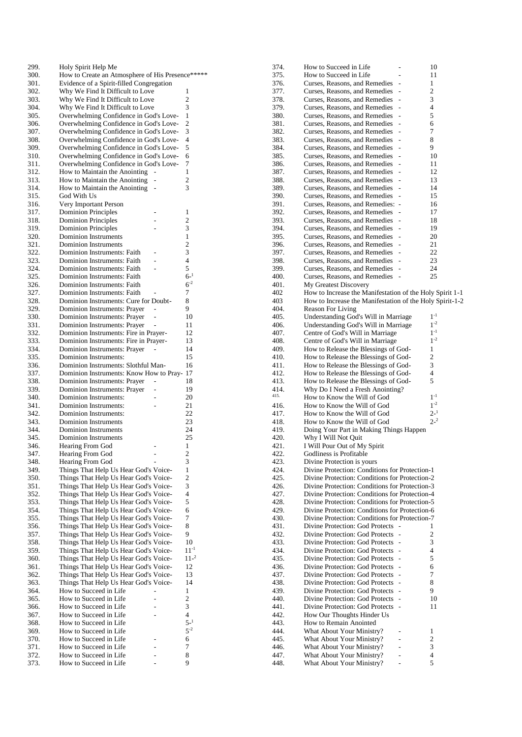| 299. | Holy Spirit Help Me                              |                |                         |
|------|--------------------------------------------------|----------------|-------------------------|
| 300. | How to Create an Atmosphere of His Presence***** |                |                         |
| 301. | Evidence of a Spirit-filled Congregation         |                |                         |
|      |                                                  |                |                         |
| 302. | Why We Find It Difficult to Love                 |                | 1                       |
| 303. | Why We Find It Difficult to Love                 |                | $\overline{c}$          |
| 304. | Why We Find It Difficult to Love                 |                | 3                       |
|      |                                                  |                |                         |
| 305. | Overwhelming Confidence in God's Love-           |                | 1                       |
| 306. | Overwhelming Confidence in God's Love-           |                | 2                       |
| 307. | Overwhelming Confidence in God's Love-           |                | 3                       |
| 308. | Overwhelming Confidence in God's Love-           |                | 4                       |
|      |                                                  |                |                         |
| 309. | Overwhelming Confidence in God's Love-           |                | 5                       |
| 310. | Overwhelming Confidence in God's Love-           |                | 6                       |
| 311. | Overwhelming Confidence in God's Love-           |                | 7                       |
|      |                                                  |                |                         |
| 312. | How to Maintain the Anointing                    |                | 1                       |
| 313. | How to Maintain the Anointing                    |                | 2                       |
| 314. | How to Maintain the Anointing                    | ÷              | 3                       |
|      |                                                  |                |                         |
| 315. | God With Us                                      |                |                         |
| 316. | Very Important Person                            |                |                         |
| 317. | <b>Dominion Principles</b>                       |                | 1                       |
|      |                                                  |                | 2                       |
| 318. | <b>Dominion Principles</b>                       |                |                         |
| 319. | <b>Dominion Principles</b>                       |                | 3                       |
| 320. | <b>Dominion Instruments</b>                      |                | 1                       |
| 321. | <b>Dominion Instruments</b>                      |                | 2                       |
|      |                                                  |                |                         |
| 322. | Dominion Instruments: Faith                      | $\overline{a}$ | 3                       |
| 323. | Dominion Instruments: Faith                      | $\overline{a}$ | 4                       |
| 324. | Dominion Instruments: Faith                      | -              | 5                       |
|      |                                                  |                |                         |
| 325. | Dominion Instruments: Faith                      |                | $6 - 1$                 |
| 326. | Dominion Instruments: Faith                      |                | $6^{-2}$                |
| 327. | Dominion Instruments: Faith                      |                | 7                       |
|      |                                                  |                |                         |
| 328. | Dominion Instruments: Cure for Doubt-            |                | 8                       |
| 329. | Dominion Instruments: Prayer                     |                | 9                       |
| 330. | Dominion Instruments: Prayer                     |                | 10                      |
|      |                                                  |                |                         |
| 331. | Dominion Instruments: Prayer                     |                | 11                      |
| 332. | Dominion Instruments: Fire in Prayer-            |                | 12                      |
| 333. | Dominion Instruments: Fire in Prayer-            |                | 13                      |
|      |                                                  |                |                         |
| 334. | Dominion Instruments: Prayer                     |                | 14                      |
| 335. | Dominion Instruments:                            |                | 15                      |
| 336. | Dominion Instruments: Slothful Man-              |                | 16                      |
|      |                                                  |                |                         |
| 337. | Dominion Instruments: Know How to Pray-          |                | 17                      |
| 338. | Dominion Instruments: Prayer                     |                | 18                      |
| 339. | Dominion Instruments: Prayer                     |                | 19                      |
|      |                                                  |                |                         |
| 340. | Dominion Instruments:                            |                | 20                      |
| 341. | Dominion Instruments:                            |                | 21                      |
| 342. | Dominion Instruments:                            |                | 22                      |
| 343. | Dominion Instruments                             |                | 23                      |
|      |                                                  |                |                         |
| 344. | <b>Dominion Instruments</b>                      |                | 24                      |
| 345. | Dominion Instruments                             |                | 25                      |
| 346. | Hearing From God                                 |                | 1                       |
|      |                                                  |                |                         |
| 347. | Hearing From God                                 |                | $\overline{\mathbf{c}}$ |
| 348. | Hearing From God                                 |                | 3                       |
| 349. | Things That Help Us Hear God's Voice-            |                | 1                       |
| 350. | Things That Help Us Hear God's Voice-            |                | $\overline{c}$          |
|      |                                                  |                |                         |
| 351. | Things That Help Us Hear God's Voice-            |                | 3                       |
| 352. | Things That Help Us Hear God's Voice-            |                | 4                       |
| 353. | Things That Help Us Hear God's Voice-            |                | 5                       |
|      |                                                  |                |                         |
| 354. | Things That Help Us Hear God's Voice-            |                | 6                       |
| 355. | Things That Help Us Hear God's Voice-            |                | 7                       |
| 356. | Things That Help Us Hear God's Voice-            |                | 8                       |
|      |                                                  |                |                         |
| 357. | Things That Help Us Hear God's Voice-            |                | 9                       |
| 358. | Things That Help Us Hear God's Voice-            |                | 10                      |
| 359. | Things That Help Us Hear God's Voice-            |                | $11^{-1}$               |
| 360. | Things That Help Us Hear God's Voice-            |                | $11-2$                  |
|      |                                                  |                |                         |
| 361. | Things That Help Us Hear God's Voice-            |                | 12                      |
| 362. | Things That Help Us Hear God's Voice-            |                | 13                      |
| 363. | Things That Help Us Hear God's Voice-            |                | 14                      |
|      |                                                  |                |                         |
| 364. | How to Succeed in Life                           |                | 1                       |
| 365. | How to Succeed in Life                           |                | $\overline{c}$          |
| 366. | How to Succeed in Life                           | L              | 3                       |
|      |                                                  |                |                         |
| 367. | How to Succeed in Life                           | L,             | 4                       |
| 368. | How to Succeed in Life                           |                | $5-1$                   |
| 369. | How to Succeed in Life                           |                | $5^{-2}$                |
|      |                                                  |                |                         |
| 370. | How to Succeed in Life                           |                | 6                       |
| 371. | How to Succeed in Life                           |                | 7                       |
| 372. | How to Succeed in Life                           |                | 8                       |
|      |                                                  |                |                         |
|      |                                                  |                |                         |
| 373. | How to Succeed in Life                           |                | 9                       |

| How to Succeed in Life<br>÷,                             | 10                                                                                                                                                                                                                                                                                                                                                                                                                                                                                                                                                                                                                                                                                                                                                                                                                                                                                                                                                                                                                                                                                                                                                                                   |
|----------------------------------------------------------|--------------------------------------------------------------------------------------------------------------------------------------------------------------------------------------------------------------------------------------------------------------------------------------------------------------------------------------------------------------------------------------------------------------------------------------------------------------------------------------------------------------------------------------------------------------------------------------------------------------------------------------------------------------------------------------------------------------------------------------------------------------------------------------------------------------------------------------------------------------------------------------------------------------------------------------------------------------------------------------------------------------------------------------------------------------------------------------------------------------------------------------------------------------------------------------|
| How to Succeed in Life<br>$\overline{a}$                 | 11                                                                                                                                                                                                                                                                                                                                                                                                                                                                                                                                                                                                                                                                                                                                                                                                                                                                                                                                                                                                                                                                                                                                                                                   |
|                                                          | 1                                                                                                                                                                                                                                                                                                                                                                                                                                                                                                                                                                                                                                                                                                                                                                                                                                                                                                                                                                                                                                                                                                                                                                                    |
|                                                          | 2                                                                                                                                                                                                                                                                                                                                                                                                                                                                                                                                                                                                                                                                                                                                                                                                                                                                                                                                                                                                                                                                                                                                                                                    |
|                                                          | 3                                                                                                                                                                                                                                                                                                                                                                                                                                                                                                                                                                                                                                                                                                                                                                                                                                                                                                                                                                                                                                                                                                                                                                                    |
|                                                          |                                                                                                                                                                                                                                                                                                                                                                                                                                                                                                                                                                                                                                                                                                                                                                                                                                                                                                                                                                                                                                                                                                                                                                                      |
|                                                          | 4                                                                                                                                                                                                                                                                                                                                                                                                                                                                                                                                                                                                                                                                                                                                                                                                                                                                                                                                                                                                                                                                                                                                                                                    |
|                                                          | 5                                                                                                                                                                                                                                                                                                                                                                                                                                                                                                                                                                                                                                                                                                                                                                                                                                                                                                                                                                                                                                                                                                                                                                                    |
|                                                          | 6                                                                                                                                                                                                                                                                                                                                                                                                                                                                                                                                                                                                                                                                                                                                                                                                                                                                                                                                                                                                                                                                                                                                                                                    |
|                                                          | 7                                                                                                                                                                                                                                                                                                                                                                                                                                                                                                                                                                                                                                                                                                                                                                                                                                                                                                                                                                                                                                                                                                                                                                                    |
| Curses, Reasons, and Remedies<br>$\overline{a}$          | 8                                                                                                                                                                                                                                                                                                                                                                                                                                                                                                                                                                                                                                                                                                                                                                                                                                                                                                                                                                                                                                                                                                                                                                                    |
| Curses, Reasons, and Remedies                            | 9                                                                                                                                                                                                                                                                                                                                                                                                                                                                                                                                                                                                                                                                                                                                                                                                                                                                                                                                                                                                                                                                                                                                                                                    |
| $\overline{a}$                                           | 10                                                                                                                                                                                                                                                                                                                                                                                                                                                                                                                                                                                                                                                                                                                                                                                                                                                                                                                                                                                                                                                                                                                                                                                   |
| L                                                        | 11                                                                                                                                                                                                                                                                                                                                                                                                                                                                                                                                                                                                                                                                                                                                                                                                                                                                                                                                                                                                                                                                                                                                                                                   |
|                                                          | 12                                                                                                                                                                                                                                                                                                                                                                                                                                                                                                                                                                                                                                                                                                                                                                                                                                                                                                                                                                                                                                                                                                                                                                                   |
|                                                          | 13                                                                                                                                                                                                                                                                                                                                                                                                                                                                                                                                                                                                                                                                                                                                                                                                                                                                                                                                                                                                                                                                                                                                                                                   |
|                                                          |                                                                                                                                                                                                                                                                                                                                                                                                                                                                                                                                                                                                                                                                                                                                                                                                                                                                                                                                                                                                                                                                                                                                                                                      |
|                                                          | 14                                                                                                                                                                                                                                                                                                                                                                                                                                                                                                                                                                                                                                                                                                                                                                                                                                                                                                                                                                                                                                                                                                                                                                                   |
|                                                          | 15                                                                                                                                                                                                                                                                                                                                                                                                                                                                                                                                                                                                                                                                                                                                                                                                                                                                                                                                                                                                                                                                                                                                                                                   |
|                                                          | 16                                                                                                                                                                                                                                                                                                                                                                                                                                                                                                                                                                                                                                                                                                                                                                                                                                                                                                                                                                                                                                                                                                                                                                                   |
| Curses, Reasons, and Remedies<br>L,                      | 17                                                                                                                                                                                                                                                                                                                                                                                                                                                                                                                                                                                                                                                                                                                                                                                                                                                                                                                                                                                                                                                                                                                                                                                   |
| Curses, Reasons, and Remedies<br>Ĭ.                      | 18                                                                                                                                                                                                                                                                                                                                                                                                                                                                                                                                                                                                                                                                                                                                                                                                                                                                                                                                                                                                                                                                                                                                                                                   |
| Curses, Reasons, and Remedies<br>$\overline{a}$          | 19                                                                                                                                                                                                                                                                                                                                                                                                                                                                                                                                                                                                                                                                                                                                                                                                                                                                                                                                                                                                                                                                                                                                                                                   |
| L,                                                       | 20                                                                                                                                                                                                                                                                                                                                                                                                                                                                                                                                                                                                                                                                                                                                                                                                                                                                                                                                                                                                                                                                                                                                                                                   |
|                                                          | 21                                                                                                                                                                                                                                                                                                                                                                                                                                                                                                                                                                                                                                                                                                                                                                                                                                                                                                                                                                                                                                                                                                                                                                                   |
|                                                          | 22                                                                                                                                                                                                                                                                                                                                                                                                                                                                                                                                                                                                                                                                                                                                                                                                                                                                                                                                                                                                                                                                                                                                                                                   |
|                                                          |                                                                                                                                                                                                                                                                                                                                                                                                                                                                                                                                                                                                                                                                                                                                                                                                                                                                                                                                                                                                                                                                                                                                                                                      |
|                                                          | 23                                                                                                                                                                                                                                                                                                                                                                                                                                                                                                                                                                                                                                                                                                                                                                                                                                                                                                                                                                                                                                                                                                                                                                                   |
|                                                          | 24                                                                                                                                                                                                                                                                                                                                                                                                                                                                                                                                                                                                                                                                                                                                                                                                                                                                                                                                                                                                                                                                                                                                                                                   |
|                                                          | 25                                                                                                                                                                                                                                                                                                                                                                                                                                                                                                                                                                                                                                                                                                                                                                                                                                                                                                                                                                                                                                                                                                                                                                                   |
|                                                          |                                                                                                                                                                                                                                                                                                                                                                                                                                                                                                                                                                                                                                                                                                                                                                                                                                                                                                                                                                                                                                                                                                                                                                                      |
| How to Increase the Manifestation of the Holy Spirit 1-1 |                                                                                                                                                                                                                                                                                                                                                                                                                                                                                                                                                                                                                                                                                                                                                                                                                                                                                                                                                                                                                                                                                                                                                                                      |
| How to Increase the Manifestation of the Holy Spirit-1-2 |                                                                                                                                                                                                                                                                                                                                                                                                                                                                                                                                                                                                                                                                                                                                                                                                                                                                                                                                                                                                                                                                                                                                                                                      |
| <b>Reason For Living</b>                                 |                                                                                                                                                                                                                                                                                                                                                                                                                                                                                                                                                                                                                                                                                                                                                                                                                                                                                                                                                                                                                                                                                                                                                                                      |
|                                                          | $1^{-1}$                                                                                                                                                                                                                                                                                                                                                                                                                                                                                                                                                                                                                                                                                                                                                                                                                                                                                                                                                                                                                                                                                                                                                                             |
|                                                          | $1^{-2}$                                                                                                                                                                                                                                                                                                                                                                                                                                                                                                                                                                                                                                                                                                                                                                                                                                                                                                                                                                                                                                                                                                                                                                             |
|                                                          | $1^{-1}$                                                                                                                                                                                                                                                                                                                                                                                                                                                                                                                                                                                                                                                                                                                                                                                                                                                                                                                                                                                                                                                                                                                                                                             |
|                                                          | $1^{-2}$                                                                                                                                                                                                                                                                                                                                                                                                                                                                                                                                                                                                                                                                                                                                                                                                                                                                                                                                                                                                                                                                                                                                                                             |
|                                                          |                                                                                                                                                                                                                                                                                                                                                                                                                                                                                                                                                                                                                                                                                                                                                                                                                                                                                                                                                                                                                                                                                                                                                                                      |
|                                                          | 1                                                                                                                                                                                                                                                                                                                                                                                                                                                                                                                                                                                                                                                                                                                                                                                                                                                                                                                                                                                                                                                                                                                                                                                    |
|                                                          | 2                                                                                                                                                                                                                                                                                                                                                                                                                                                                                                                                                                                                                                                                                                                                                                                                                                                                                                                                                                                                                                                                                                                                                                                    |
|                                                          | 3                                                                                                                                                                                                                                                                                                                                                                                                                                                                                                                                                                                                                                                                                                                                                                                                                                                                                                                                                                                                                                                                                                                                                                                    |
| How to Release the Blessings of God-                     | 4                                                                                                                                                                                                                                                                                                                                                                                                                                                                                                                                                                                                                                                                                                                                                                                                                                                                                                                                                                                                                                                                                                                                                                                    |
| How to Release the Blessings of God-                     |                                                                                                                                                                                                                                                                                                                                                                                                                                                                                                                                                                                                                                                                                                                                                                                                                                                                                                                                                                                                                                                                                                                                                                                      |
|                                                          | 5                                                                                                                                                                                                                                                                                                                                                                                                                                                                                                                                                                                                                                                                                                                                                                                                                                                                                                                                                                                                                                                                                                                                                                                    |
|                                                          |                                                                                                                                                                                                                                                                                                                                                                                                                                                                                                                                                                                                                                                                                                                                                                                                                                                                                                                                                                                                                                                                                                                                                                                      |
| Why Do I Need a Fresh Anointing?                         | $1^{-1}$                                                                                                                                                                                                                                                                                                                                                                                                                                                                                                                                                                                                                                                                                                                                                                                                                                                                                                                                                                                                                                                                                                                                                                             |
| How to Know the Will of God                              |                                                                                                                                                                                                                                                                                                                                                                                                                                                                                                                                                                                                                                                                                                                                                                                                                                                                                                                                                                                                                                                                                                                                                                                      |
| How to Know the Will of God                              | $1^{-2}$                                                                                                                                                                                                                                                                                                                                                                                                                                                                                                                                                                                                                                                                                                                                                                                                                                                                                                                                                                                                                                                                                                                                                                             |
| How to Know the Will of God                              | $2 - 1$                                                                                                                                                                                                                                                                                                                                                                                                                                                                                                                                                                                                                                                                                                                                                                                                                                                                                                                                                                                                                                                                                                                                                                              |
| How to Know the Will of God                              | $2^{-2}$                                                                                                                                                                                                                                                                                                                                                                                                                                                                                                                                                                                                                                                                                                                                                                                                                                                                                                                                                                                                                                                                                                                                                                             |
| Doing Your Part in Making Things Happen                  |                                                                                                                                                                                                                                                                                                                                                                                                                                                                                                                                                                                                                                                                                                                                                                                                                                                                                                                                                                                                                                                                                                                                                                                      |
| Why I Will Not Quit                                      |                                                                                                                                                                                                                                                                                                                                                                                                                                                                                                                                                                                                                                                                                                                                                                                                                                                                                                                                                                                                                                                                                                                                                                                      |
| I Will Pour Out of My Spirit                             |                                                                                                                                                                                                                                                                                                                                                                                                                                                                                                                                                                                                                                                                                                                                                                                                                                                                                                                                                                                                                                                                                                                                                                                      |
| Godliness is Profitable                                  |                                                                                                                                                                                                                                                                                                                                                                                                                                                                                                                                                                                                                                                                                                                                                                                                                                                                                                                                                                                                                                                                                                                                                                                      |
| Divine Protection is yours                               |                                                                                                                                                                                                                                                                                                                                                                                                                                                                                                                                                                                                                                                                                                                                                                                                                                                                                                                                                                                                                                                                                                                                                                                      |
|                                                          |                                                                                                                                                                                                                                                                                                                                                                                                                                                                                                                                                                                                                                                                                                                                                                                                                                                                                                                                                                                                                                                                                                                                                                                      |
| Divine Protection: Conditions for Protection-1           |                                                                                                                                                                                                                                                                                                                                                                                                                                                                                                                                                                                                                                                                                                                                                                                                                                                                                                                                                                                                                                                                                                                                                                                      |
| Divine Protection: Conditions for Protection-2           |                                                                                                                                                                                                                                                                                                                                                                                                                                                                                                                                                                                                                                                                                                                                                                                                                                                                                                                                                                                                                                                                                                                                                                                      |
| Divine Protection: Conditions for Protection-3           |                                                                                                                                                                                                                                                                                                                                                                                                                                                                                                                                                                                                                                                                                                                                                                                                                                                                                                                                                                                                                                                                                                                                                                                      |
| Divine Protection: Conditions for Protection-4           |                                                                                                                                                                                                                                                                                                                                                                                                                                                                                                                                                                                                                                                                                                                                                                                                                                                                                                                                                                                                                                                                                                                                                                                      |
| Divine Protection: Conditions for Protection-5           |                                                                                                                                                                                                                                                                                                                                                                                                                                                                                                                                                                                                                                                                                                                                                                                                                                                                                                                                                                                                                                                                                                                                                                                      |
| Divine Protection: Conditions for Protection-6           |                                                                                                                                                                                                                                                                                                                                                                                                                                                                                                                                                                                                                                                                                                                                                                                                                                                                                                                                                                                                                                                                                                                                                                                      |
| Divine Protection: Conditions for Protection-7           |                                                                                                                                                                                                                                                                                                                                                                                                                                                                                                                                                                                                                                                                                                                                                                                                                                                                                                                                                                                                                                                                                                                                                                                      |
| Divine Protection: God Protects<br>÷,                    | 1                                                                                                                                                                                                                                                                                                                                                                                                                                                                                                                                                                                                                                                                                                                                                                                                                                                                                                                                                                                                                                                                                                                                                                                    |
| Divine Protection: God Protects<br>$\overline{a}$        | 2                                                                                                                                                                                                                                                                                                                                                                                                                                                                                                                                                                                                                                                                                                                                                                                                                                                                                                                                                                                                                                                                                                                                                                                    |
| Divine Protection: God Protects<br>$\overline{a}$        | 3                                                                                                                                                                                                                                                                                                                                                                                                                                                                                                                                                                                                                                                                                                                                                                                                                                                                                                                                                                                                                                                                                                                                                                                    |
| Divine Protection: God Protects<br>Ĭ.                    | 4                                                                                                                                                                                                                                                                                                                                                                                                                                                                                                                                                                                                                                                                                                                                                                                                                                                                                                                                                                                                                                                                                                                                                                                    |
| Divine Protection: God Protects<br>$\overline{a}$        | 5                                                                                                                                                                                                                                                                                                                                                                                                                                                                                                                                                                                                                                                                                                                                                                                                                                                                                                                                                                                                                                                                                                                                                                                    |
| Divine Protection: God Protects<br>L,                    | 6                                                                                                                                                                                                                                                                                                                                                                                                                                                                                                                                                                                                                                                                                                                                                                                                                                                                                                                                                                                                                                                                                                                                                                                    |
| L,                                                       |                                                                                                                                                                                                                                                                                                                                                                                                                                                                                                                                                                                                                                                                                                                                                                                                                                                                                                                                                                                                                                                                                                                                                                                      |
| Divine Protection: God Protects<br>$\overline{a}$        | 7                                                                                                                                                                                                                                                                                                                                                                                                                                                                                                                                                                                                                                                                                                                                                                                                                                                                                                                                                                                                                                                                                                                                                                                    |
| Divine Protection: God Protects                          | 8                                                                                                                                                                                                                                                                                                                                                                                                                                                                                                                                                                                                                                                                                                                                                                                                                                                                                                                                                                                                                                                                                                                                                                                    |
| Divine Protection: God Protects                          | 9                                                                                                                                                                                                                                                                                                                                                                                                                                                                                                                                                                                                                                                                                                                                                                                                                                                                                                                                                                                                                                                                                                                                                                                    |
| Divine Protection: God Protects                          | 10                                                                                                                                                                                                                                                                                                                                                                                                                                                                                                                                                                                                                                                                                                                                                                                                                                                                                                                                                                                                                                                                                                                                                                                   |
| Divine Protection: God Protects<br>$\overline{a}$        | 11                                                                                                                                                                                                                                                                                                                                                                                                                                                                                                                                                                                                                                                                                                                                                                                                                                                                                                                                                                                                                                                                                                                                                                                   |
| How Our Thoughts Hinder Us                               |                                                                                                                                                                                                                                                                                                                                                                                                                                                                                                                                                                                                                                                                                                                                                                                                                                                                                                                                                                                                                                                                                                                                                                                      |
| How to Remain Anointed                                   |                                                                                                                                                                                                                                                                                                                                                                                                                                                                                                                                                                                                                                                                                                                                                                                                                                                                                                                                                                                                                                                                                                                                                                                      |
| What About Your Ministry?                                | 1                                                                                                                                                                                                                                                                                                                                                                                                                                                                                                                                                                                                                                                                                                                                                                                                                                                                                                                                                                                                                                                                                                                                                                                    |
| What About Your Ministry?                                | 2                                                                                                                                                                                                                                                                                                                                                                                                                                                                                                                                                                                                                                                                                                                                                                                                                                                                                                                                                                                                                                                                                                                                                                                    |
| What About Your Ministry?                                | 3                                                                                                                                                                                                                                                                                                                                                                                                                                                                                                                                                                                                                                                                                                                                                                                                                                                                                                                                                                                                                                                                                                                                                                                    |
|                                                          |                                                                                                                                                                                                                                                                                                                                                                                                                                                                                                                                                                                                                                                                                                                                                                                                                                                                                                                                                                                                                                                                                                                                                                                      |
| What About Your Ministry?<br>What About Your Ministry?   | 4<br>5                                                                                                                                                                                                                                                                                                                                                                                                                                                                                                                                                                                                                                                                                                                                                                                                                                                                                                                                                                                                                                                                                                                                                                               |
|                                                          | Curses, Reasons, and Remedies<br>$\overline{a}$<br>Curses, Reasons, and Remedies<br>$\overline{a}$<br>Curses, Reasons, and Remedies<br>L,<br>Curses, Reasons, and Remedies<br>$\overline{a}$<br>Curses, Reasons, and Remedies<br>L,<br>Curses, Reasons, and Remedies<br>$\overline{a}$<br>Curses, Reasons, and Remedies<br>Curses, Reasons, and Remedies<br>Curses, Reasons, and Remedies<br>Curses, Reasons, and Remedies<br>$\overline{a}$<br>Curses, Reasons, and Remedies<br>$\overline{a}$<br>Curses, Reasons, and Remedies<br>$\overline{a}$<br>Curses, Reasons, and Remedies<br>÷,<br>Curses, Reasons, and Remedies:<br>÷,<br>Curses, Reasons, and Remedies<br>Curses, Reasons, and Remedies<br>$\overline{a}$<br>Curses, Reasons, and Remedies<br>Curses, Reasons, and Remedies<br>Curses, Reasons, and Remedies<br>Curses, Reasons, and Remedies<br>$\overline{a}$<br>My Greatest Discovery<br>Understanding God's Will in Marriage<br>Understanding God's Will in Marriage<br>Centre of God's Will in Marriage<br>Centre of God's Will in Marriage<br>How to Release the Blessings of God-<br>How to Release the Blessings of God-<br>How to Release the Blessings of God- |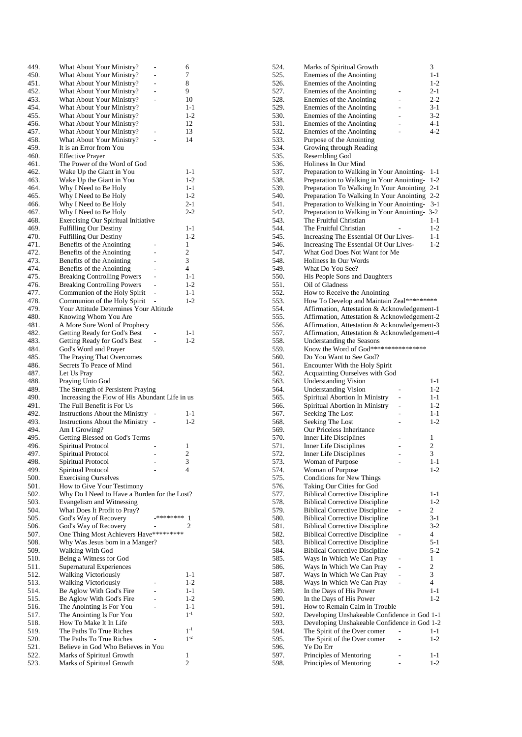| 449. | What About Your Ministry?                      |                | 6                       |
|------|------------------------------------------------|----------------|-------------------------|
| 450. | What About Your Ministry?                      | $\overline{a}$ | 7                       |
| 451. | What About Your Ministry?                      | $\overline{a}$ | 8                       |
| 452. | What About Your Ministry?                      | $\overline{a}$ | 9                       |
| 453. | What About Your Ministry?                      | $\overline{a}$ | 10                      |
| 454. | What About Your Ministry?                      |                | $1 - 1$                 |
| 455. | What About Your Ministry?                      |                | $1 - 2$                 |
| 456. | What About Your Ministry?                      |                | 12                      |
| 457. | What About Your Ministry?                      |                | 13                      |
| 458. | What About Your Ministry?                      |                | 14                      |
| 459. | It is an Error from You                        |                |                         |
| 460. | <b>Effective Prayer</b>                        |                |                         |
| 461. | The Power of the Word of God                   |                |                         |
| 462. | Wake Up the Giant in You                       |                | 1-1                     |
| 463. | Wake Up the Giant in You                       |                | $1 - 2$                 |
| 464. | Why I Need to Be Holy                          |                | $1 - 1$                 |
| 465. | Why I Need to Be Holy                          |                | $1 - 2$                 |
| 466. | Why I Need to Be Holy                          |                | $2 - 1$                 |
| 467. | Why I Need to Be Holy                          |                | $2 - 2$                 |
| 468. | <b>Exercising Our Spiritual Initiative</b>     |                |                         |
| 469. | <b>Fulfilling Our Destiny</b>                  |                | $1 - 1$                 |
| 470. | <b>Fulfilling Our Destiny</b>                  |                | $1 - 2$                 |
| 471. | Benefits of the Anointing                      |                | 1                       |
| 472. | Benefits of the Anointing                      |                | $\overline{2}$          |
| 473. | Benefits of the Anointing                      |                | 3                       |
| 474. | Benefits of the Anointing                      |                | $\overline{4}$          |
| 475. | <b>Breaking Controlling Powers</b>             | $\overline{a}$ | $1 - 1$                 |
| 476. | <b>Breaking Controlling Powers</b>             | L.             | $1 - 2$                 |
| 477. | Communion of the Holy Spirit                   | $\overline{a}$ | $1 - 1$                 |
| 478. | Communion of the Holy Spirit                   |                | $1-2$                   |
| 479. | Your Attitude Determines Your Altitude         |                |                         |
| 480. | Knowing Whom You Are                           |                |                         |
| 481. | A More Sure Word of Prophecy                   |                |                         |
| 482. | Getting Ready for God's Best                   |                | $1 - 1$                 |
| 483. | Getting Ready for God's Best                   |                | $1-2$                   |
| 484. | God's Word and Prayer                          |                |                         |
| 485. | The Praying That Overcomes                     |                |                         |
| 486. | Secrets To Peace of Mind                       |                |                         |
| 487. | Let Us Pray                                    |                |                         |
| 488. | Praying Unto God                               |                |                         |
| 489. | The Strength of Persistent Praying             |                |                         |
| 490. | Increasing the Flow of His Abundant Life in us |                |                         |
| 491. | The Full Benefit is For Us                     |                |                         |
| 492. | <b>Instructions About the Ministry</b>         |                | 1-1                     |
| 493. | Instructions About the Ministry                |                | $1 - 2$                 |
| 494. | Am I Growing?                                  |                |                         |
| 495. | Getting Blessed on God's Terms                 |                |                         |
| 496. | Spiritual Protocol                             |                | 1                       |
| 497. | Spiritual Protocol                             |                | $\overline{\mathbf{c}}$ |
| 498. | Spiritual Protocol                             |                | 3                       |
| 499. | Spiritual Protocol                             |                | 4                       |
| 500. | <b>Exercising Ourselves</b>                    |                |                         |
| 501. | How to Give Your Testimony                     |                |                         |
| 502. | Why Do I Need to Have a Burden for the Lost?   |                |                         |
| 503. | Evangelism and Witnessing                      |                |                         |
| 504. | What Does It Profit to Pray?                   |                |                         |
| 505. | God's Way of Recovery                          | _********      | 1                       |
| 506. | God's Way of Recovery                          |                | 2                       |
| 507. | One Thing Most Achievers Have*********         |                |                         |
| 508. | Why Was Jesus born in a Manger?                |                |                         |
| 509. | Walking With God                               |                |                         |
| 510. | Being a Witness for God                        |                |                         |
| 511. | Supernatural Experiences                       |                |                         |
| 512. | <b>Walking Victoriously</b>                    |                | 1-1                     |
| 513. | Walking Victoriously                           |                | $1-2$                   |
| 514. | Be Aglow With God's Fire                       |                | 1-1                     |
| 515. | Be Aglow With God's Fire                       |                | $1-2$                   |
| 516. | The Anointing Is For You                       |                | $1 - 1$                 |
| 517. | The Anointing Is For You                       |                | $1^{-1}$                |
| 518. | How To Make It In Life                         |                |                         |
| 519. | The Paths To True Riches                       |                | $1^{-1}$                |
| 520. | The Paths To True Riches                       |                | $1^{-2}$                |
| 521. | Believe in God Who Believes in You             |                |                         |
| 522. | Marks of Spiritual Growth                      |                | 1                       |
| 523. | Marks of Spiritual Growth                      |                | 2                       |

| 524.         | Marks of Spiritual Growth                                                             | 3                   |
|--------------|---------------------------------------------------------------------------------------|---------------------|
| 525.         | Enemies of the Anointing                                                              | $1 - 1$             |
| 526.         | Enemies of the Anointing                                                              | $1-2$               |
| 527.         | Enemies of the Anointing<br>۰                                                         | $2 - 1$             |
| 528.<br>529. | Enemies of the Anointing<br>L<br>Enemies of the Anointing<br>$\overline{a}$           | $2 - 2$<br>3-1      |
| 530.         | Enemies of the Anointing<br>L.                                                        | $3-2$               |
| 531.         | Enemies of the Anointing<br>L,                                                        | 4-1                 |
| 532.         | Enemies of the Anointing                                                              | $4 - 2$             |
| 533.         | Purpose of the Anointing                                                              |                     |
| 534.         | Growing through Reading                                                               |                     |
| 535.         | <b>Resembling God</b>                                                                 |                     |
| 536.         | Holiness In Our Mind                                                                  |                     |
| 537.         | Preparation to Walking in Your Anointing-                                             | 1-1                 |
| 538.<br>539. | Preparation to Walking in Your Anointing-<br>Preparation To Walking In Your Anointing | $1 - 2$<br>$2 - 1$  |
| 540.         | Preparation To Walking In Your Anointing                                              | $2 - 2$             |
| 541.         | Preparation to Walking in Your Anointing-                                             | $3-1$               |
| 542.         | Preparation to Walking in Your Anointing- 3-2                                         |                     |
| 543.         | The Fruitful Christian                                                                | $1 - 1$             |
| 544.         | The Fruitful Christian                                                                | $1-2$               |
| 545.         | Increasing The Essential Of Our Lives-                                                | $1 - 1$             |
| 546.         | Increasing The Essential Of Our Lives-                                                | 1-2                 |
| 547.<br>548. | What God Does Not Want for Me<br>Holiness In Our Words                                |                     |
| 549.         | What Do You See?                                                                      |                     |
| 550.         | His People Sons and Daughters                                                         |                     |
| 551.         | Oil of Gladness                                                                       |                     |
| 552.         | How to Receive the Anointing                                                          |                     |
| 553.         | How To Develop and Maintain Zeal*********                                             |                     |
| 554.         | Affirmation, Attestation & Acknowledgement-1                                          |                     |
| 555.         | Affirmation, Attestation & Acknowledgement-2                                          |                     |
| 556.         | Affirmation, Attestation & Acknowledgement-3                                          |                     |
| 557.         | Affirmation, Attestation & Acknowledgement-4                                          |                     |
| 558.         | Understanding the Seasons<br>Know the Word of God*****************                    |                     |
| 559.<br>560. | Do You Want to See God?                                                               |                     |
| 561.         | Encounter With the Holy Spirit                                                        |                     |
| 562.         | Acquainting Ourselves with God                                                        |                     |
| 563.         | Understanding Vision                                                                  | 1-1                 |
| 564.         | <b>Understanding Vision</b><br>L,                                                     | $1-2$               |
| 565.         | Spiritual Abortion In Ministry                                                        | $1 - 1$             |
| 566.         | Spiritual Abortion In Ministry<br>-                                                   | $1 - 2$             |
| 567.         | Seeking The Lost                                                                      | $1 - 1$             |
| 568.         | Seeking The Lost                                                                      | $1-2$               |
| 569.         | Our Priceless Inheritance                                                             |                     |
| 570.         | Inner Life Disciplines<br><b>Inner Life Disciplines</b>                               | 1<br>$\overline{c}$ |
| 571.<br>572. | <b>Inner Life Disciplines</b>                                                         | 3                   |
| 573.         | Woman of Purpose                                                                      | 1-1                 |
| 574.         | Woman of Purpose                                                                      | $1-2$               |
| 575.         | <b>Conditions for New Things</b>                                                      |                     |
| 576.         | Taking Our Cities for God                                                             |                     |
| 577.         | <b>Biblical Corrective Discipline</b>                                                 | 1-1                 |
| 578.         | <b>Biblical Corrective Discipline</b>                                                 | $1-2$               |
| 579.         | <b>Biblical Corrective Discipline</b>                                                 | 2                   |
| 580.         | <b>Biblical Corrective Discipline</b>                                                 | $3-1$               |
| 581.         | <b>Biblical Corrective Discipline</b>                                                 | $3-2$               |
| 582.         | <b>Biblical Corrective Discipline</b>                                                 | 4                   |
| 583.<br>584. | <b>Biblical Corrective Discipline</b><br><b>Biblical Corrective Discipline</b>        | $5 - 1$<br>$5 - 2$  |
| 585.         | Ways In Which We Can Pray                                                             | 1                   |
| 586.         | Ways In Which We Can Pray                                                             | $\overline{c}$      |
| 587.         | Ways In Which We Can Pray<br>$\overline{\phantom{0}}$                                 | 3                   |
| 588.         | Ways In Which We Can Pray                                                             | 4                   |
| 589.         | In the Days of His Power                                                              | $1 - 1$             |
| 590.         | In the Days of His Power                                                              | $1-2$               |
| 591.         | How to Remain Calm in Trouble                                                         |                     |
| 592.         | Developing Unshakeable Confidence in God 1-1                                          |                     |
| 593.         | Developing Unshakeable Confidence in God 1-2                                          |                     |
| 594.         | The Spirit of the Over comer<br>$\overline{a}$                                        | 1-1                 |
| 595.<br>596. | The Spirit of the Over comer<br>Ye Do Err                                             | $1 - 2$             |
| 597.         | Principles of Mentoring                                                               | 1-1                 |
| 598.         | Principles of Mentoring                                                               | $1 - 2$             |
|              |                                                                                       |                     |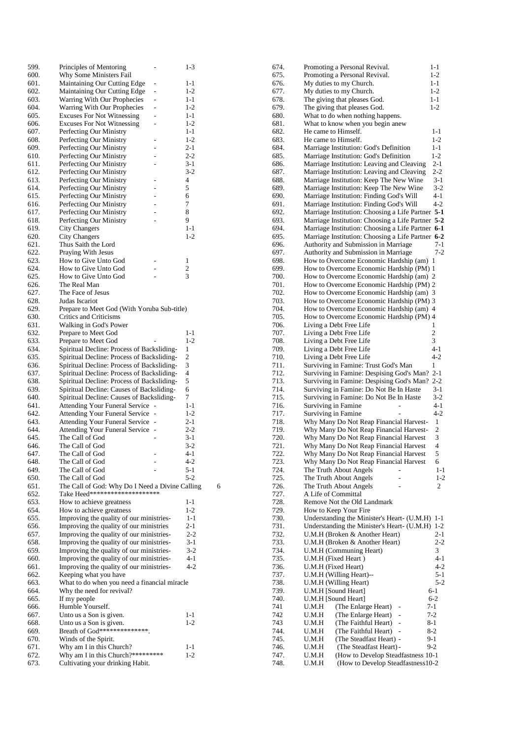| 599.         | Principles of Mentoring                                                                  | -                                | $1 - 3$            |
|--------------|------------------------------------------------------------------------------------------|----------------------------------|--------------------|
| 600.         | Why Some Ministers Fail                                                                  |                                  |                    |
| 601.         | Maintaining Our Cutting Edge                                                             | $\overline{a}$                   | 1-1                |
| 602.         | Maintaining Our Cutting Edge                                                             | $\overline{a}$                   | $1 - 2$            |
| 603.<br>604. | Warring With Our Prophecies<br>Warring With Our Prophecies                               | $\overline{a}$<br>$\overline{a}$ | 1-1<br>$1 - 2$     |
| 605.         | <b>Excuses For Not Witnessing</b>                                                        | L                                | $1 - 1$            |
| 606.         | <b>Excuses For Not Witnessing</b>                                                        | $\overline{a}$                   | $1-2$              |
| 607.         | Perfecting Our Ministry                                                                  |                                  | $1 - 1$            |
| 608.         | Perfecting Our Ministry                                                                  | -                                | $1 - 2$            |
| 609.         | Perfecting Our Ministry                                                                  |                                  | $2 - 1$            |
| 610.         | Perfecting Our Ministry                                                                  | $\overline{a}$                   | $2 - 2$            |
| 611.         | Perfecting Our Ministry                                                                  | $\overline{a}$                   | $3-1$              |
| 612.         | Perfecting Our Ministry                                                                  |                                  | $3-2$              |
| 613.         | Perfecting Our Ministry                                                                  | $\overline{a}$                   | 4                  |
| 614.         | Perfecting Our Ministry                                                                  | ÷,                               | 5                  |
| 615.<br>616. | Perfecting Our Ministry                                                                  | $\overline{a}$<br>-              | 6<br>7             |
| 617.         | Perfecting Our Ministry<br>Perfecting Our Ministry                                       | $\overline{a}$                   | 8                  |
| 618.         | Perfecting Our Ministry                                                                  | $\overline{a}$                   | 9                  |
| 619.         | City Changers                                                                            |                                  | $1 - 1$            |
| 620.         | City Changers                                                                            |                                  | $1 - 2$            |
| 621.         | Thus Saith the Lord                                                                      |                                  |                    |
| 622.         | Praying With Jesus                                                                       |                                  |                    |
| 623.         | How to Give Unto God                                                                     |                                  | 1                  |
| 624.         | How to Give Unto God                                                                     |                                  | $\overline{2}$     |
| 625.         | How to Give Unto God                                                                     |                                  | 3                  |
| 626.         | The Real Man                                                                             |                                  |                    |
| 627.<br>628. | The Face of Jesus                                                                        |                                  |                    |
| 629.         | Judas Iscariot<br>Prepare to Meet God (With Yoruba Sub-title)                            |                                  |                    |
| 630.         | <b>Critics and Criticisms</b>                                                            |                                  |                    |
| 631.         | Walking in God's Power                                                                   |                                  |                    |
| 632.         | Prepare to Meet God                                                                      |                                  | 1-1                |
| 633.         | Prepare to Meet God                                                                      |                                  | $1-2$              |
| 634.         | Spiritual Decline: Process of Backsliding-                                               |                                  | 1                  |
| 635.         | Spiritual Decline: Process of Backsliding-                                               |                                  | 2                  |
| 636.<br>637. | Spiritual Decline: Process of Backsliding-<br>Spiritual Decline: Process of Backsliding- |                                  | 3<br>4             |
| 638.         | Spiritual Decline: Process of Backsliding-                                               |                                  | 5                  |
| 639.         | Spiritual Decline: Causes of Backsliding-                                                |                                  | 6                  |
| 640.         | Spiritual Decline: Causes of Backsliding-                                                |                                  | 7                  |
| 641.         | <b>Attending Your Funeral Service</b>                                                    |                                  | $1 - 1$            |
| 642.         | <b>Attending Your Funeral Service</b>                                                    | $\overline{a}$                   | $1 - 2$            |
| 643.         | <b>Attending Your Funeral Service</b>                                                    | $\overline{\phantom{0}}$         | $2 - 1$<br>$2 - 2$ |
| 644.<br>645. | <b>Attending Your Funeral Service</b><br>The Call of God                                 | ÷,                               | $3-1$              |
| 646.         | The Call of God                                                                          |                                  | $3-2$              |
| 647.         | The Call of God                                                                          |                                  | 4-1                |
| 648.         | The Call of God                                                                          |                                  | 4-2                |
| 649.         | The Call of God                                                                          |                                  | $5-1$              |
| 650.         | The Call of God                                                                          |                                  | $5-2$              |
| 651.         | The Call of God: Why Do I Need a Divine Calling                                          |                                  |                    |
| 652.         | Take Heed*********************                                                           |                                  |                    |
| 653.<br>654. | How to achieve greatness                                                                 |                                  | 1-1<br>$1-2$       |
| 655.         | How to achieve greatness<br>Improving the quality of our ministries-                     |                                  | $1 - 1$            |
| 656.         | Improving the quality of our ministries                                                  |                                  | 2-1                |
| 657.         | Improving the quality of our ministries-                                                 |                                  | $2 - 2$            |
| 658.         | Improving the quality of our ministries-                                                 |                                  | 3-1                |
| 659.         | Improving the quality of our ministries-                                                 |                                  | $3-2$              |
| 660.         |                                                                                          |                                  |                    |
| 661.         | Improving the quality of our ministries-                                                 |                                  | 4-1                |
|              | Improving the quality of our ministries-                                                 |                                  | $4 - 2$            |
| 662.         | Keeping what you have                                                                    |                                  |                    |
| 663.         | What to do when you need a financial miracle                                             |                                  |                    |
| 664.<br>665. | Why the need for revival?                                                                |                                  |                    |
| 666.         | If my people<br>Humble Yourself.                                                         |                                  |                    |
| 667.         | Unto us a Son is given.                                                                  |                                  | 1-1                |
| 668.         | Unto us a Son is given.                                                                  |                                  | $1-2$              |
| 669.         | Breath of God***************.                                                            |                                  |                    |
| 670.         | Winds of the Spirit.                                                                     |                                  |                    |
| 671.<br>672. | Why am I in this Church?<br>Why am I in this Church?*********                            |                                  | 1-1<br>1-2         |

6

| 674.         | Promoting a Personal Revival.                                                    | $1 - 1$             |
|--------------|----------------------------------------------------------------------------------|---------------------|
| 675.         | Promoting a Personal Revival.                                                    | $1-2$               |
| 676.         | My duties to my Church.                                                          | 1-1                 |
| 677.         | My duties to my Church.                                                          | $1-2$               |
| 678.         | The giving that pleases God.                                                     | 1-1                 |
| 679.         | The giving that pleases God.                                                     | $1 - 2$             |
| 680.         | What to do when nothing happens.                                                 |                     |
| 681.         | What to know when you begin anew                                                 |                     |
| 682.         | He came to Himself.                                                              | $1 - 1$             |
| 683.         | He came to Himself.                                                              | $1 - 2$             |
| 684.         | Marriage Institution: God's Definition<br>Marriage Institution: God's Definition | 1-1                 |
| 685.<br>686. | Marriage Institution: Leaving and Cleaving                                       | $1 - 2$<br>$2 - 1$  |
| 687.         | Marriage Institution: Leaving and Cleaving                                       | $2 - 2$             |
| 688.         | Marriage Institution: Keep The New Wine                                          | $3-1$               |
| 689.         | Marriage Institution: Keep The New Wine                                          | $3-2$               |
| 690.         | Marriage Institution: Finding God's Will                                         | 4-1                 |
| 691.         | Marriage Institution: Finding God's Will                                         | $4 - 2$             |
| 692.         | Marriage Institution: Choosing a Life Partner 5-1                                |                     |
| 693.         | Marriage Institution: Choosing a Life Partner 5-2                                |                     |
| 694.         | Marriage Institution: Choosing a Life Partner 6-1                                |                     |
| 695.         | Marriage Institution: Choosing a Life Partner 6-2                                |                     |
| 696.         | Authority and Submission in Marriage                                             | $7 - 1$             |
| 697.         | Authority and Submission in Marriage                                             | $7-2$               |
| 698.         | How to Overcome Economic Hardship (am)                                           | 1                   |
| 699.         | How to Overcome Economic Hardship (PM) 1                                         |                     |
| 700.         | How to Overcome Economic Hardship (am) 2                                         |                     |
| 701.         | How to Overcome Economic Hardship (PM) 2                                         |                     |
| 702.         | How to Overcome Economic Hardship (am) 3                                         |                     |
| 703.         | How to Overcome Economic Hardship (PM) 3                                         |                     |
| 704.<br>705. | How to Overcome Economic Hardship (am) 4                                         |                     |
| 706.         | How to Overcome Economic Hardship (PM) 4<br>Living a Debt Free Life              | 1                   |
| 707.         | Living a Debt Free Life                                                          | 2                   |
| 708.         | Living a Debt Free Life                                                          | 3                   |
| 709.         | Living a Debt Free Life                                                          | $4 - 1$             |
| 710.         | Living a Debt Free Life                                                          | $4 - 2$             |
| 711.         | Surviving in Famine: Trust God's Man                                             | 1                   |
| 712.         | Surviving in Famine: Despising God's Man?                                        | $2 - 1$             |
| 713.         | Surviving in Famine: Despising God's Man?                                        | $2 - 2$             |
| 714.         | Surviving in Famine: Do Not Be In Haste                                          | $3-1$               |
| 715.         | Surviving in Famine: Do Not Be In Haste                                          | 3-2                 |
| 716.         | Surviving in Famine                                                              | $4-1$               |
| 717.         | Surviving in Famine                                                              | $4 - 2$             |
| 718.         | Why Many Do Not Reap Financial Harvest-                                          | 1                   |
| 719.         | Why Many Do Not Reap Financial Harvest-                                          | $\overline{c}$      |
| 720.         | Why Many Do Not Reap Financial Harvest                                           | 3                   |
| 721.         | Why Many Do Not Reap Financial Harvest                                           | $\overline{4}$<br>5 |
| 722.<br>723. | Why Many Do Not Reap Financial Harvest<br>Why Many Do Not Reap Financial Harvest | 6                   |
| 724.         | The Truth About Angels                                                           | $1 - 1$             |
| 725.         | The Truth About Angels<br>Ĺ,                                                     | $1-2$               |
| 726.         | The Truth About Angels                                                           | 2                   |
| 727.         | A Life of Committal                                                              |                     |
| 728.         | Remove Not the Old Landmark                                                      |                     |
| 729.         | How to Keep Your Fire                                                            |                     |
| 730.         | Understanding the Minister's Heart- (U.M.H)                                      | 1-1                 |
| 731.         | Understanding the Minister's Heart- (U.M.H)                                      | $1-2$               |
| 732.         | U.M.H (Broken & Another Heart)                                                   | $2-1$               |
| 733.         | U.M.H (Broken & Another Heart)                                                   | $2 - 2$             |
| 734.         | U.M.H (Communing Heart)                                                          | 3                   |
| 735.         | U.M.H (Fixed Heart)                                                              | $4 - 1$             |
| 736.         | U.M.H (Fixed Heart)                                                              | $4 - 2$             |
| 737.         | U.M.H (Willing Heart)--                                                          | $5-1$               |
| 738.         | U.M.H (Willing Heart)                                                            | $5 - 2$             |
| 739.<br>740. | U.M.H [Sound Heart]<br>U.M.H [Sound Heart]                                       | 6-1<br>$6-2$        |
| 741          | (The Enlarge Heart)<br>U.M.H                                                     | 7-1                 |
| 742          | (The Enlarge Heart)<br>U.M.H                                                     | $7 - 2$             |
| 743          | (The Faithful Heart)<br>U.M.H<br>$\overline{a}$                                  | 8-1                 |
| 744.         | U.M.H<br>(The Faithful Heart)                                                    | 8-2                 |
| 745.         | (The Steadfast Heart) -<br>U.M.H                                                 | 9-1                 |
| 746.         | (The Steadfast Heart) -<br>U.M.H                                                 | $9-2$               |
| 747.         | (How to Develop Steadfastness 10-1<br>U.M.H                                      |                     |
| 748.         | (How to Develop Steadfastness10-2<br>U.M.H                                       |                     |
|              |                                                                                  |                     |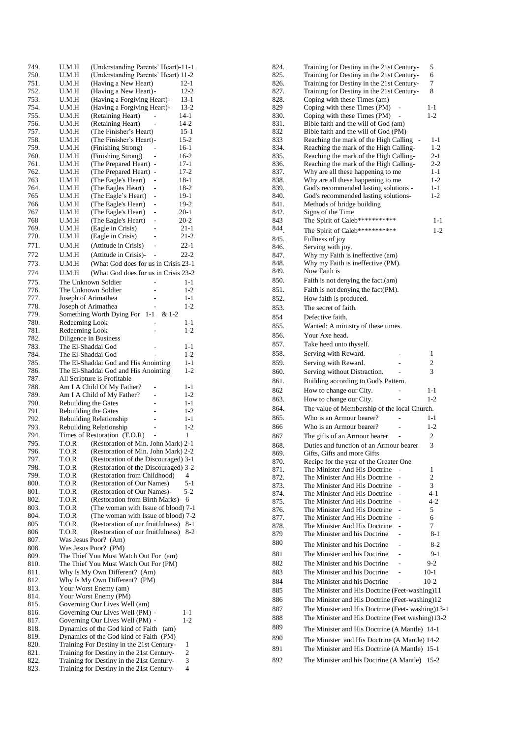| 749.         | U.M.H                                      | (Understanding Parents' Heart)-11-1                                            |                      |
|--------------|--------------------------------------------|--------------------------------------------------------------------------------|----------------------|
| 750.         | U.M.H                                      | (Understanding Parents' Heart) 11-2                                            |                      |
| 751.<br>752. | U.M.H<br>U.M.H                             | (Having a New Heart)<br>(Having a New Heart) -                                 | $12 - 1$<br>$12 - 2$ |
| 753.         | U.M.H                                      | (Having a Forgiving Heart)-                                                    | 13-1                 |
| 754.         | U.M.H                                      | (Having a Forgiving Heart)-                                                    | 13-2                 |
| 755.         | U.M.H                                      | (Retaining Heart)                                                              | 14-1                 |
| 756.         | U.M.H                                      | (Retaining Heart)                                                              | $14 - 2$             |
| 757.         | U.M.H                                      | (The Finisher's Heart)                                                         | 15-1                 |
| 758.<br>759. | U.M.H<br>U.M.H                             | (The Finisher's Heart)-<br>(Finishing Strong)                                  | 15-2<br>16-1         |
| 760.         | U.M.H                                      | (Finishing Strong)<br>-                                                        | 16-2                 |
| 761.         | U.M.H                                      | (The Prepared Heart)<br>-                                                      | 17-1                 |
| 762.         | U.M.H                                      | (The Prepared Heart)<br>-                                                      | 17-2                 |
| 763          | U.M.H                                      | (The Eagle's Heart)<br>$\overline{a}$                                          | $18-1$               |
| 764.<br>765  | U.M.H<br>U.M.H                             | (The Eagles Heart)<br>-                                                        | 18-2<br>19-1         |
| 766          | U.M.H                                      | (The Eagle's Heart)<br>-<br>(The Eagle's Heart)<br>-                           | 19-2                 |
| 767          | U.M.H                                      | (The Eagle's Heart)<br>$\overline{\phantom{0}}$                                | 20-1                 |
| 768          | U.M.H                                      | (The Eagle's Heart)<br>$\overline{\phantom{0}}$                                | $20 - 2$             |
| 769.         | U.M.H                                      | (Eagle in Crisis)                                                              | 21-1                 |
| 770.         | U.M.H                                      | (Eagle in Crisis)                                                              | 21-2                 |
| 771.         | U.M.H                                      | (Attitude in Crisis)<br>-                                                      | 22-1                 |
| 772          | U.M.H                                      | (Attitude in Crisis)-                                                          | $22 - 2$             |
| 773.         | U.M.H                                      | (What God does for us in Crisis 23-1)                                          |                      |
| 774          | U.M.H                                      | (What God does for us in Crisis 23-2                                           |                      |
| 775.<br>776. | The Unknown Soldier<br>The Unknown Soldier | -                                                                              | $1 - 1$<br>$1-2$     |
| 777.         | Joseph of Arimathea                        | $\overline{a}$                                                                 | $1 - 1$              |
| 778.         | Joseph of Arimathea                        |                                                                                | $1-2$                |
| 779.         |                                            | Something Worth Dying For<br>1-1<br>& 1-2                                      |                      |
| 780.         | Redeeming Look                             |                                                                                | 1-1                  |
| 781.         | Redeeming Look                             |                                                                                | $1 - 2$              |
| 782.         | Diligence in Business                      |                                                                                |                      |
| 783.<br>784. | The El-Shaddai God<br>The El-Shaddai God   |                                                                                | $1 - 1$<br>$1 - 2$   |
| 785.         |                                            | The El-Shaddai God and His Anointing                                           | $1 - 1$              |
| 786.         |                                            | The El-Shaddai God and His Anointing                                           | $1 - 2$              |
| 787.         |                                            | All Scripture is Profitable                                                    |                      |
| 788.         |                                            | Am I A Child Of My Father?                                                     | 1-1                  |
| 789.<br>790. | Rebuilding the Gates                       | Am I A Child of My Father?<br>$\overline{a}$                                   | $1-2$<br>$1 - 1$     |
| 791.         | Rebuilding the Gates                       | $\overline{\phantom{0}}$                                                       | $1-2$                |
| 792.         |                                            | Rebuilding Relationship<br>-                                                   | $1 - 1$              |
| 793.         |                                            | Rebuilding Relationship<br>-                                                   | $1 - 2$              |
| 794.         |                                            | Times of Restoration (T.O.R)<br>L,                                             | 1                    |
| 795.         | T.O.R                                      | (Restoration of Min. John Mark) 2-1                                            |                      |
| 796.<br>797. | T.O.R<br>T.O.R                             | (Restoration of Min. John Mark) 2-2<br>(Restoration of the Discouraged) 3-1    |                      |
| 798.         | T.O.R                                      | (Restoration of the Discouraged) 3-2                                           |                      |
| 799.         | T.O.R                                      | (Restoration from Childhood)                                                   | 4                    |
| 800.         | T.O.R                                      | (Restoration of Our Names)                                                     | 5-1                  |
| 801.         | T.O.R                                      | (Restoration of Our Names)-                                                    | 5-2                  |
| 802.<br>803. | T.O.R<br>T.O.R                             | (Restoration from Birth Marks)-<br>(The woman with Issue of blood) 7-1         | 6                    |
| 804.         | T.O.R                                      | (The woman with Issue of blood) 7-2                                            |                      |
| 805          | T.O.R                                      | (Restoration of our fruitfulness)                                              | 8-1                  |
| 806          | T.O.R                                      | (Restoration of our fruitfulness)                                              | $8-2$                |
| 807.         |                                            | Was Jesus Poor? (Am)                                                           |                      |
| 808.         |                                            | Was Jesus Poor? (PM)                                                           |                      |
| 809.<br>810. |                                            | The Thief You Must Watch Out For (am)<br>The Thief You Must Watch Out For (PM) |                      |
| 811.         |                                            | Why Is My Own Different? (Am)                                                  |                      |
| 812.         |                                            | Why Is My Own Different? (PM)                                                  |                      |
| 813.         |                                            | Your Worst Enemy (am)                                                          |                      |
| 814.         |                                            | Your Worst Enemy (PM)                                                          |                      |
| 815.         |                                            | Governing Our Lives Well (am)                                                  |                      |
| 816.<br>817. |                                            | Governing Our Lives Well (PM) -<br>Governing Our Lives Well (PM) -             | 1-1<br>$1-2$         |
| 818.         |                                            | Dynamics of the God kind of Faith<br>(am)                                      |                      |
| 819.         |                                            | Dynamics of the God kind of Faith (PM)                                         |                      |
| 820.         |                                            | Training For Destiny in the 21st Century-                                      | 1                    |
| 821.         |                                            | Training for Destiny in the 21st Century-                                      | 2                    |
| 822.<br>823. |                                            | Training for Destiny in the 21st Century-                                      | 3<br>4               |
|              |                                            | Training for Destiny in the 21st Century-                                      |                      |

| 824.         | Training for Destiny in the 21st Century-                                  | 5                  |
|--------------|----------------------------------------------------------------------------|--------------------|
| 825.         | Training for Destiny in the 21st Century-                                  | 6                  |
| 826.         | Training for Destiny in the 21st Century-                                  | 7                  |
| 827.<br>828. | Training for Destiny in the 21st Century-<br>Coping with these Times (am)  | 8                  |
| 829          | Coping with these Times (PM)                                               | $1 - 1$            |
| 830.         | Coping with these Times (PM)                                               | $1-2$              |
| 831.         | Bible faith and the will of God (am)                                       |                    |
| 832          | Bible faith and the will of God (PM)                                       |                    |
| 833          | Reaching the mark of the High Calling                                      | 1-1                |
| 834.         | Reaching the mark of the High Calling-                                     | $1-2$              |
| 835.         | Reaching the mark of the High Calling-                                     | $2 - 1$            |
| 836.         | Reaching the mark of the High Calling-                                     | $2-2$              |
| 837.<br>838. | Why are all these happening to me                                          | $1 - 1$<br>$1 - 2$ |
| 839.         | Why are all these happening to me<br>God's recommended lasting solutions - | 1-1                |
| 840.         | God's recommended lasting solutions-                                       | 1-2                |
| 841.         | Methods of bridge building                                                 |                    |
| 842.         | Signs of the Time                                                          |                    |
| 843          | The Spirit of Caleb************                                            | 1-1                |
| 844          | The Spirit of Caleb************                                            | $1 - 2$            |
| 845.         | Fullness of joy                                                            |                    |
| 846.         | Serving with joy.                                                          |                    |
| 847.         | Why my Faith is ineffective (am)                                           |                    |
| 848.         | Why my Faith is ineffective (PM).                                          |                    |
| 849.         | Now Faith is                                                               |                    |
| 850.         | Faith is not denying the fact.(am)                                         |                    |
| 851.         | Faith is not denying the fact(PM).                                         |                    |
| 852.         | How faith is produced.                                                     |                    |
| 853.         | The secret of faith.                                                       |                    |
| 854          | Defective faith.                                                           |                    |
| 855.         | Wanted: A ministry of these times.                                         |                    |
| 856.         | Your Axe head.                                                             |                    |
| 857.         | Take heed unto thyself.                                                    |                    |
| 858.         | Serving with Reward.                                                       | 1                  |
| 859.         | Serving with Reward.                                                       | 2                  |
| 860.         | Serving without Distraction.                                               | 3                  |
| 861.         | Building according to God's Pattern.                                       |                    |
| 862          | How to change our City.                                                    | $1 - 1$            |
| 863.         | How to change our City.                                                    | $1-2$              |
| 864.         | The value of Membership of the local Church.                               |                    |
| 865.         | Who is an Armour bearer?                                                   | 1-1                |
| 866          | Who is an Armour bearer?                                                   | $1-2$              |
| 867          | The gifts of an Armour bearer.                                             | 2                  |
| 868.         | Duties and function of an Armour bearer                                    | 3                  |
| 869.         | Gifts, Gifts and more Gifts                                                |                    |
| 870.         | Recipe for the year of the Greater One                                     |                    |
| 871.         | The Minister And His Doctrine                                              | 1                  |
| 872.         | The Minister And His Doctrine                                              | 2                  |
| 873.         | The Minister And His Doctrine                                              | 3                  |
| 874.         | The Minister And His Doctrine                                              | $4-1$              |
| 875.<br>876. | The Minister And His Doctrine<br>The Minister And His Doctrine             | 4-2<br>5           |
| 877.         | The Minister And His Doctrine                                              | 6                  |
| 878.         | The Minister And His Doctrine                                              | 7                  |
| 879          | The Minister and his Doctrine                                              | 8-1                |
| 880          | The Minister and his Doctrine                                              | 8-2                |
| 881          | The Minister and his Doctrine                                              | 9-1                |
|              |                                                                            |                    |
| 882          | The Minister and his Doctrine                                              | $9-2$              |
| 883          | The Minister and his Doctrine                                              | 10-1               |
| 884          | The Minister and his Doctrine                                              | 10-2               |
| 885          | The Minister and His Doctrine (Feet-washing)11                             |                    |
| 886          | The Minister and His Doctrine (Feet-washing)12                             |                    |
| 887          | The Minister and His Doctrine (Feet-washing)13-1                           |                    |
| 888          | The Minister and His Doctrine (Feet washing)13-2                           |                    |
| 889          | The Minister and His Doctrine (A Mantle) 14-1                              |                    |
| 890          | The Minister and His Doctrine (A Mantle) 14-2                              |                    |
| 891          | The Minister and His Doctrine (A Mantle)                                   | $15-1$             |
| 892          | The Minister and his Doctrine (A Mantle)                                   | $15 - 2$           |
|              |                                                                            |                    |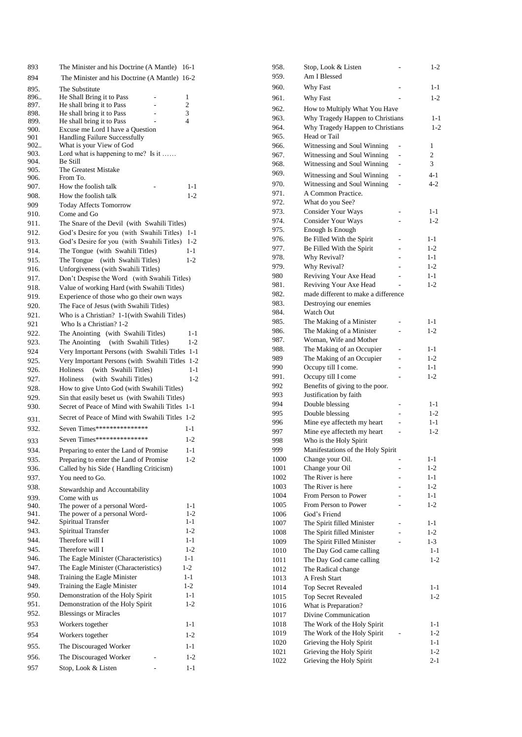| 893          | The Minister and his Doctrine (A Mantle)        | $16-1$         |
|--------------|-------------------------------------------------|----------------|
| 894          | The Minister and his Doctrine (A Mantle) 16-2   |                |
| 895.         | The Substitute                                  |                |
| 896          | He Shall Bring it to Pass                       | 1              |
| 897.         | He shall bring it to Pass                       | $\overline{c}$ |
| 898.         | He shall bring it to Pass                       | 3              |
| 899.         | He shall bring it to Pass                       | $\overline{4}$ |
| 900.         | Excuse me Lord I have a Question                |                |
| 901          | Handling Failure Successfully                   |                |
| 902          | What is your View of God                        |                |
| 903.         | Lord what is happening to me? Is it             |                |
| 904.         | Be Still                                        |                |
| 905.<br>906. | The Greatest Mistake<br>From To.                |                |
|              |                                                 |                |
| 907.         | How the foolish talk                            | $1 - 1$        |
| 908.         | How the foolish talk                            | $1 - 2$        |
| 909          | <b>Today Affects Tomorrow</b>                   |                |
| 910.         | Come and Go                                     |                |
| 911.         | The Snare of the Devil (with Swahili Titles)    |                |
| 912.         | God's Desire for you (with Swahili Titles) 1-1  |                |
| 913.         | God's Desire for you (with Swahili Titles)      | $1 - 2$        |
| 914.         | The Tongue (with Swahili Titles)                | $1 - 1$        |
| 915.         | The Tongue<br>(with Swahili Titles)             | $1 - 2$        |
| 916.         | Unforgiveness (with Swahili Titles)             |                |
| 917.         | Don't Despise the Word (with Swahili Titles)    |                |
| 918.         | Value of working Hard (with Swahili Titles)     |                |
| 919.         | Experience of those who go their own ways       |                |
| 920.         | The Face of Jesus (with Swahili Titles)         |                |
| 921.         | Who is a Christian? 1-1(with Swahili Titles)    |                |
| 921          | Who Is a Christian? 1-2                         |                |
| 922.         | The Anointing<br>(with Swahili Titles)          | $1 - 1$        |
| 923.         | The Anointing<br>(with Swahili Titles)          | $1 - 2$        |
| 924          | Very Important Persons (with Swahili Titles 1-1 |                |
|              |                                                 | $1-2$          |
| 925.         | Very Important Persons (with Swahili Titles     |                |
| 926.         | Holiness<br>(with Swahili Titles)               | $1 - 1$        |
| 927.         | Holiness<br>(with Swahili Titles)               | $1 - 2$        |
| 928.         | How to give Unto God (with Swahili Titles)      |                |
| 929.         | Sin that easily beset us (with Swahili Titles)  |                |
| 930.         | Secret of Peace of Mind with Swahili Titles 1-1 |                |
| 931.         | Secret of Peace of Mind with Swahili Titles     | $1 - 2$        |
| 932.         | Seven Times****************                     | $1 - 1$        |
|              | Seven Times****************                     |                |
| 933          |                                                 |                |
| 934.         |                                                 | $1 - 2$        |
|              | Preparing to enter the Land of Promise          | $1 - 1$        |
| 935.         | Preparing to enter the Land of Promise          | 1-2            |
| 936.         | Called by his Side (Handling Criticism)         |                |
| 937.         | You need to Go.                                 |                |
| 938.         | Stewardship and Accountability                  |                |
| 939.         | Come with us                                    |                |
| 940.         | The power of a personal Word-                   | $1 - 1$        |
| 941.         | The power of a personal Word-                   | $1-2$          |
| 942.         | Spiritual Transfer                              | 1-1            |
| 943.         | Spiritual Transfer                              | $1 - 2$        |
| 944.         | Therefore will I                                | $1 - 1$        |
| 945.         | Therefore will I                                | $1 - 2$        |
| 946.         | The Eagle Minister (Characteristics)            | 1-1            |
| 947.         | The Eagle Minister (Characteristics)            | $1 - 2$        |
| 948.         | Training the Eagle Minister                     | $1 - 1$        |
| 949.         | Training the Eagle Minister                     | $1-2$          |
| 950.         | Demonstration of the Holy Spirit                | $1 - 1$        |
| 951.         | Demonstration of the Holy Spirit                | $1 - 2$        |
| 952.         | <b>Blessings or Miracles</b>                    |                |
| 953          |                                                 | $1 - 1$        |
|              | Workers together                                |                |
| 954          | Workers together                                | $1 - 2$        |
| 955.         | The Discouraged Worker                          | $1 - 1$        |
| 956.         | The Discouraged Worker                          | $1-2$          |
| 957          | Stop, Look & Listen                             | $1 - 1$        |

| 958. | Stop, Look & Listen                 |                          | $1 - 2$ |
|------|-------------------------------------|--------------------------|---------|
| 959. | Am I Blessed                        |                          |         |
| 960. | Why Fast                            |                          | 1-1     |
| 961. | Why Fast                            |                          | $1 - 2$ |
| 962. | How to Multiply What You Have       |                          |         |
| 963. | Why Tragedy Happen to Christians    |                          | $1 - 1$ |
| 964. | Why Tragedy Happen to Christians    |                          | $1 - 2$ |
| 965. | Head or Tail                        |                          |         |
| 966. | Witnessing and Soul Winning         | -                        | 1       |
| 967. | Witnessing and Soul Winning         | ÷,                       | 2       |
| 968. | Witnessing and Soul Winning         | ۰                        | 3       |
| 969. | Witnessing and Soul Winning         | $\overline{\phantom{0}}$ | $4 - 1$ |
| 970. | Witnessing and Soul Winning         |                          | $4 - 2$ |
| 971. | A Common Practice.                  |                          |         |
| 972. | What do you See?                    |                          |         |
| 973. | <b>Consider Your Ways</b>           | ÷,                       | $1 - 1$ |
| 974. | <b>Consider Your Ways</b>           |                          | $1 - 2$ |
| 975. | Enough Is Enough                    |                          |         |
| 976. | Be Filled With the Spirit           |                          | $1 - 1$ |
| 977. | Be Filled With the Spirit           | ۷                        | $1 - 2$ |
| 978. | Why Revival?                        |                          | $1 - 1$ |
| 979. | Why Revival?                        | ÷                        | $1-2$   |
| 980  | Reviving Your Axe Head              |                          | $1 - 1$ |
| 981. | Reviving Your Axe Head              | L.                       | $1 - 2$ |
| 982. | made different to make a difference |                          |         |
| 983. | Destroying our enemies              |                          |         |
| 984. | <b>Watch Out</b>                    |                          |         |
| 985. | The Making of a Minister            |                          | $1 - 1$ |
| 986. | The Making of a Minister            |                          | $1-2$   |
| 987. | Woman, Wife and Mother              |                          |         |
| 988. | The Making of an Occupier           |                          | $1 - 1$ |
| 989  | The Making of an Occupier           |                          | $1-2$   |
| 990  | Occupy till I come.                 |                          | $1 - 1$ |
| 991. | Occupy till I come                  | L,                       | $1-2$   |
| 992  | Benefits of giving to the poor.     |                          |         |
| 993  | Justification by faith              |                          |         |
| 994  | Double blessing                     |                          | $1 - 1$ |
| 995  | Double blessing                     |                          | $1-2$   |
| 996  | Mine eye affecteth my heart         |                          | $1 - 1$ |
| 997  | Mine eye affecteth my heart         |                          | 1-2     |
| 998  | Who is the Holy Spirit              |                          |         |
| 999  | Manifestations of the Holy Spirit   |                          |         |
| 1000 | Change your Oil.                    | -                        | 1-1     |
| 1001 | Change your Oil                     |                          | $1-2$   |
| 1002 | The River is here                   |                          | $1 - 1$ |
| 1003 | The River is here                   |                          | 1-2     |
| 1004 | From Person to Power                |                          | $1 - 1$ |
| 1005 | From Person to Power                |                          | $1-2$   |
| 1006 | God's Friend                        |                          |         |
| 1007 | The Spirit filled Minister          |                          | 1-1     |
| 1008 | The Spirit filled Minister          | L.                       | $1-2$   |
| 1009 | The Spirit Filled Minister          |                          | $1 - 3$ |
| 1010 | The Day God came calling            |                          | $1 - 1$ |
| 1011 | The Day God came calling            |                          | $1 - 2$ |
| 1012 | The Radical change                  |                          |         |
| 1013 | A Fresh Start                       |                          |         |
| 1014 | <b>Top Secret Revealed</b>          |                          | $1 - 1$ |
| 1015 | Top Secret Revealed                 |                          | $1-2$   |
| 1016 | What is Preparation?                |                          |         |
| 1017 | Divine Communication                |                          |         |
| 1018 | The Work of the Holy Spirit         |                          | 1-1     |
| 1019 | The Work of the Holy Spirit         |                          | $1-2$   |
| 1020 | Grieving the Holy Spirit            |                          | $1 - 1$ |
| 1021 | Grieving the Holy Spirit            |                          | $1-2$   |
| 1022 | Grieving the Holy Spirit            |                          | $2 - 1$ |
|      |                                     |                          |         |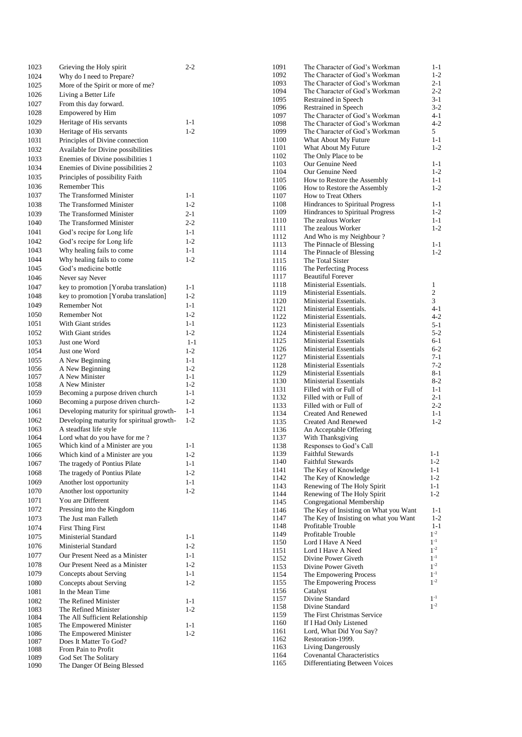| 1023 | Grieving the Holy spirit                  | $2 - 2$ | 1091         | The Character of God's Workman                   | $1 - 1$               |
|------|-------------------------------------------|---------|--------------|--------------------------------------------------|-----------------------|
| 1024 | Why do I need to Prepare?                 |         | 1092         | The Character of God's Workman                   | $1 - 2$               |
| 1025 | More of the Spirit or more of me?         |         | 1093         | The Character of God's Workman                   | $2 - 1$               |
| 1026 | Living a Better Life                      |         | 1094         | The Character of God's Workman                   | $2 - 2$               |
| 1027 | From this day forward.                    |         | 1095         | Restrained in Speech                             | $3 - 1$               |
| 1028 | Empowered by Him                          |         | 1096         | Restrained in Speech                             | $3 - 2$               |
| 1029 | Heritage of His servants                  | $1 - 1$ | 1097         | The Character of God's Workman                   | $4 - 1$               |
|      |                                           |         | 1098         | The Character of God's Workman                   | $4 - 2$               |
| 1030 | Heritage of His servants                  | $1 - 2$ | 1099         | The Character of God's Workman                   | 5                     |
| 1031 | Principles of Divine connection           |         | 1100         | What About My Future                             | $1 - 1$<br>$1 - 2$    |
| 1032 | Available for Divine possibilities        |         | 1101<br>1102 | What About My Future<br>The Only Place to be     |                       |
| 1033 | Enemies of Divine possibilities 1         |         | 1103         | Our Genuine Need                                 | $1 - 1$               |
| 1034 | Enemies of Divine possibilities 2         |         | 1104         | Our Genuine Need                                 | $1 - 2$               |
| 1035 | Principles of possibility Faith           |         | 1105         | How to Restore the Assembly                      | $1 - 1$               |
| 1036 | Remember This                             |         | 1106         | How to Restore the Assembly                      | $1 - 2$               |
| 1037 | The Transformed Minister                  | $1 - 1$ | 1107         | How to Treat Others                              |                       |
| 1038 | The Transformed Minister                  | $1 - 2$ | 1108         | Hindrances to Spiritual Progress                 | $1 - 1$               |
| 1039 | The Transformed Minister                  | 2-1     | 1109         | Hindrances to Spiritual Progress                 | $1 - 2$               |
| 1040 | The Transformed Minister                  | $2 - 2$ | 1110         | The zealous Worker                               | $1 - 1$               |
|      |                                           |         | 1111         | The zealous Worker                               | $1 - 2$               |
| 1041 | God's recipe for Long life                | $1 - 1$ | 1112         | And Who is my Neighbour?                         |                       |
| 1042 | God's recipe for Long life                | $1 - 2$ | 1113         | The Pinnacle of Blessing                         | $1 - 1$               |
| 1043 | Why healing fails to come                 | $1 - 1$ | 1114         | The Pinnacle of Blessing                         | $1 - 2$               |
| 1044 | Why healing fails to come.                | $1 - 2$ | 1115         | The Total Sister                                 |                       |
| 1045 | God's medicine bottle                     |         | 1116         | The Perfecting Process                           |                       |
| 1046 | Never say Never                           |         | 1117         | <b>Beautiful Forever</b>                         |                       |
| 1047 | key to promotion [Yoruba translation)     | $1 - 1$ | 1118         | Ministerial Essentials.                          | $\mathbf{1}$          |
| 1048 | key to promotion [Yoruba translation]     | $1 - 2$ | 1119         | Ministerial Essentials.                          | $\sqrt{2}$            |
| 1049 | Remember Not                              | $1 - 1$ | 1120         | Ministerial Essentials.                          | $\mathfrak{Z}$        |
|      | Remember Not                              | $1 - 2$ | 1121         | Ministerial Essentials.                          | 4-1                   |
| 1050 |                                           |         | 1122         | Ministerial Essentials.                          | $4 - 2$               |
| 1051 | With Giant strides                        | $1 - 1$ | 1123         | Ministerial Essentials                           | $5 - 1$               |
| 1052 | With Giant strides                        | $1 - 2$ | 1124         | Ministerial Essentials                           | $5 - 2$               |
| 1053 | Just one Word                             | $1 - 1$ | 1125         | <b>Ministerial Essentials</b>                    | $6-1$                 |
| 1054 | Just one Word                             | $1 - 2$ | 1126         | Ministerial Essentials                           | $6 - 2$               |
| 1055 | A New Beginning                           | $1 - 1$ | 1127         | Ministerial Essentials                           | $7 - 1$               |
| 1056 | A New Beginning                           | $1 - 2$ | 1128         | Ministerial Essentials                           | $7 - 2$               |
| 1057 | A New Minister                            | $1 - 1$ | 1129         | <b>Ministerial Essentials</b>                    | $8 - 1$               |
| 1058 | A New Minister                            | $1 - 2$ | 1130         | Ministerial Essentials                           | $8-2$<br>$1 - 1$      |
| 1059 | Becoming a purpose driven church          | $1 - 1$ | 1131<br>1132 | Filled with or Full of                           | $2 - 1$               |
| 1060 | Becoming a purpose driven church-         | $1 - 2$ | 1133         | Filled with or Full of<br>Filled with or Full of | $2 - 2$               |
| 1061 | Developing maturity for spiritual growth- | $1 - 1$ | 1134         | <b>Created And Renewed</b>                       | $1-1$                 |
| 1062 | Developing maturity for spiritual growth- | $1 - 2$ | 1135         | <b>Created And Renewed</b>                       | $1 - 2$               |
| 1063 | A steadfast life style                    |         | 1136         | An Acceptable Offering                           |                       |
| 1064 | Lord what do you have for me?             |         | 1137         | With Thanksgiving                                |                       |
| 1065 | Which kind of a Minister are you          | $1 - 1$ | 1138         | Responses to God's Call                          |                       |
| 1066 | Which kind of a Minister are you          | $1 - 2$ | 1139         | <b>Faithful Stewards</b>                         | $1 - 1$               |
| 1067 | The tragedy of Pontius Pilate             | $1 - 1$ | 1140         | <b>Faithful Stewards</b>                         | $1 - 2$               |
|      |                                           |         | 1141         | The Key of Knowledge                             | $1 - 1$               |
| 1068 | The tragedy of Pontius Pilate             | $1 - 2$ | 1142         | The Key of Knowledge                             | $1 - 2$               |
| 1069 | Another lost opportunity                  | $1 - 1$ | 1143         | Renewing of The Holy Spirit                      | $1 - 1$               |
| 1070 | Another lost opportunity                  | $1 - 2$ | 1144         | Renewing of The Holy Spirit                      | $1 - 2$               |
| 1071 | You are Different                         |         | 1145         | Congregational Membership                        |                       |
| 1072 | Pressing into the Kingdom                 |         | 1146         | The Key of Insisting on What you Want            | $1 - 1$               |
| 1073 | The Just man Falleth                      |         | 1147         | The Key of Insisting on what you Want            | $1 - 2$               |
| 1074 | <b>First Thing First</b>                  |         | 1148         | Profitable Trouble                               | $1 - 1$               |
| 1075 | Ministerial Standard                      | $1 - 1$ | 1149         | Profitable Trouble                               | $1^{-2}$              |
| 1076 | Ministerial Standard                      | $1 - 2$ | 1150         | Lord I Have A Need                               | $1^{\textnormal{-}1}$ |
| 1077 |                                           | $1 - 1$ | 1151         | Lord I Have A Need                               | $1^{-2}$              |
|      | Our Present Need as a Minister            |         | 1152         | Divine Power Giveth                              | $1^{-1}$              |
| 1078 | Our Present Need as a Minister            | $1 - 2$ | 1153         | Divine Power Giveth                              | $1^{-2}$              |
| 1079 | Concepts about Serving                    | $1 - 1$ | 1154         | The Empowering Process                           | $1^{-1}$              |
| 1080 | Concepts about Serving                    | $1 - 2$ | 1155         | The Empowering Process                           | $1^{-2}$              |
| 1081 | In the Mean Time                          |         | 1156         | Catalyst                                         |                       |
| 1082 | The Refined Minister                      | $1 - 1$ | 1157         | Divine Standard                                  | $1^{-1}$              |
| 1083 | The Refined Minister                      | $1 - 2$ | 1158         | Divine Standard                                  | $1^{-2}$              |
| 1084 | The All Sufficient Relationship           |         | 1159         | The First Christmas Service                      |                       |
| 1085 | The Empowered Minister                    | $1 - 1$ | 1160         | If I Had Only Listened                           |                       |
| 1086 | The Empowered Minister                    | $1 - 2$ | 1161         | Lord, What Did You Say?                          |                       |
| 1087 | Does It Matter To God?                    |         | 1162         | Restoration-1999.                                |                       |
| 1088 | From Pain to Profit                       |         | 1163         | Living Dangerously                               |                       |
| 1089 | God Set The Solitary                      |         | 1164         | Covenantal Characteristics                       |                       |
| 1090 | The Danger Of Being Blessed               |         | 1165         | Differentiating Between Voices                   |                       |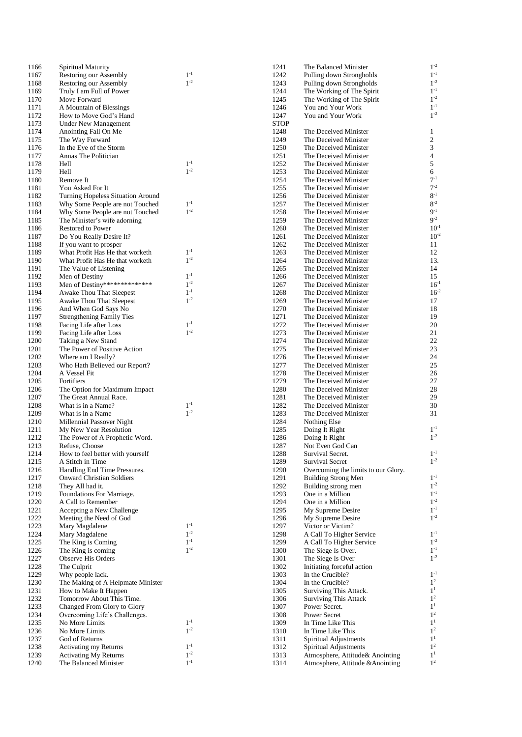| 1166         | Spiritual Maturity                                                 |          | 1241         | The Balanced Minister                          | $1^{-2}$                      |
|--------------|--------------------------------------------------------------------|----------|--------------|------------------------------------------------|-------------------------------|
| 1167         | Restoring our Assembly                                             | $1 - 1$  | 1242         | Pulling down Strongholds                       | $1^{-1}$                      |
| 1168         | Restoring our Assembly                                             | $1 - 2$  | 1243         | Pulling down Strongholds                       | $1^{-2}$                      |
| 1169         | Truly I am Full of Power                                           |          | 1244         | The Working of The Spirit                      | $1^{-1}$<br>$1^{-2}$          |
| 1170<br>1171 | Move Forward<br>A Mountain of Blessings                            |          | 1245<br>1246 | The Working of The Spirit<br>You and Your Work | $1^{-1}$                      |
| 1172         | How to Move God's Hand                                             |          | 1247         | You and Your Work                              | $1^{-2}$                      |
| 1173         | <b>Under New Management</b>                                        |          | <b>STOP</b>  |                                                |                               |
| 1174         | Anointing Fall On Me                                               |          | 1248         | The Deceived Minister                          | $\mathbf{1}$                  |
| 1175         | The Way Forward                                                    |          | 1249         | The Deceived Minister                          | $\overline{c}$                |
| 1176         | In the Eye of the Storm                                            |          | 1250         | The Deceived Minister                          | $\ensuremath{\mathfrak{Z}}$   |
| 1177         | Annas The Politician                                               |          | 1251         | The Deceived Minister                          | $\overline{4}$                |
| 1178         | Hell                                                               | $1^{-1}$ | 1252         | The Deceived Minister                          | $\sqrt{5}$                    |
| 1179         | Hell                                                               | $1^{-2}$ | 1253         | The Deceived Minister                          | 6                             |
| 1180         | Remove It                                                          |          | 1254         | The Deceived Minister                          | $7 - 1$                       |
| 1181         | You Asked For It                                                   |          | 1255         | The Deceived Minister                          | $7 - 2$                       |
| 1182         | Turning Hopeless Situation Around                                  | $1^{-1}$ | 1256<br>1257 | The Deceived Minister                          | $8-1$<br>$8 - 2$              |
| 1183<br>1184 | Why Some People are not Touched<br>Why Some People are not Touched | $1^{-2}$ | 1258         | The Deceived Minister<br>The Deceived Minister | $9-1$                         |
| 1185         | The Minister's wife adorning                                       |          | 1259         | The Deceived Minister                          | $9-2$                         |
| 1186         | <b>Restored to Power</b>                                           |          | 1260         | The Deceived Minister                          | 10                            |
| 1187         | Do You Really Desire It?                                           |          | 1261         | The Deceived Minister                          | 10                            |
| 1188         | If you want to prosper                                             |          | 1262         | The Deceived Minister                          | 11                            |
| 1189         | What Profit Has He that worketh                                    | $1^{-1}$ | 1263         | The Deceived Minister                          | 12                            |
| 1190         | What Profit Has He that worketh                                    | $1^{-2}$ | 1264         | The Deceived Minister                          | 13                            |
| 1191         | The Value of Listening                                             |          | 1265         | The Deceived Minister                          | 14                            |
| 1192         | Men of Destiny                                                     | $1^{-1}$ | 1266         | The Deceived Minister                          | 15                            |
| 1193         | Men of Destiny**************                                       | $1^{-2}$ | 1267         | The Deceived Minister                          | 16                            |
| 1194         | Awake Thou That Sleepest                                           | $1^{-1}$ | 1268         | The Deceived Minister                          | 16                            |
| 1195         | Awake Thou That Sleepest                                           | $1^{-2}$ | 1269         | The Deceived Minister                          | 17                            |
| 1196<br>1197 | And When God Says No                                               |          | 1270<br>1271 | The Deceived Minister                          | 18<br>19                      |
| 1198         | <b>Strengthening Family Ties</b><br>Facing Life after Loss         | $1^{-1}$ | 1272         | The Deceived Minister<br>The Deceived Minister | 20                            |
| 1199         | Facing Life after Loss                                             | $1 - 2$  | 1273         | The Deceived Minister                          | 21                            |
| 1200         | Taking a New Stand                                                 |          | 1274         | The Deceived Minister                          | 22                            |
| 1201         | The Power of Positive Action                                       |          | 1275         | The Deceived Minister                          | 23                            |
| 1202         | Where am I Really?                                                 |          | 1276         | The Deceived Minister                          | 24                            |
| 1203         | Who Hath Believed our Report?                                      |          | 1277         | The Deceived Minister                          | 25                            |
| 1204         | A Vessel Fit                                                       |          | 1278         | The Deceived Minister                          | 26                            |
| 1205         | Fortifiers                                                         |          | 1279         | The Deceived Minister                          | 27                            |
| 1206         | The Option for Maximum Impact                                      |          | 1280         | The Deceived Minister                          | 28                            |
| 1207         | The Great Annual Race.                                             | $1^{-1}$ | 1281         | The Deceived Minister                          | 29                            |
| 1208<br>1209 | What is in a Name?                                                 | $1^{-2}$ | 1282<br>1283 | The Deceived Minister<br>The Deceived Minister | 30<br>31                      |
| 1210         | What is in a Name<br>Millennial Passover Night                     |          | 1284         | Nothing Else                                   |                               |
| 1211         | My New Year Resolution                                             |          | 1285         | Doing It Right                                 | $1^{-1}$                      |
| 1212         | The Power of A Prophetic Word.                                     |          | 1286         | Doing It Right                                 | $1 - 2$                       |
| 1213         | Refuse, Choose                                                     |          | 1287         | Not Even God Can                               |                               |
| 1214         | How to feel better with yourself                                   |          | 1288         | Survival Secret.                               | $1^{-1}$                      |
| 1215         | A Stitch in Time                                                   |          | 1289         | <b>Survival Secret</b>                         | $1^{-2}$                      |
| 1216         | Handling End Time Pressures.                                       |          | 1290         | Overcoming the limits to our Glory.            |                               |
| 1217         | <b>Onward Christian Soldiers</b>                                   |          | 1291         | <b>Building Strong Men</b>                     | $1^{-1}$                      |
| 1218         | They All had it.                                                   |          | 1292         | Building strong men                            | $1^{-2}$<br>$1^{-1}\,$        |
| 1219<br>1220 | Foundations For Marriage.<br>A Call to Remember                    |          | 1293<br>1294 | One in a Million<br>One in a Million           | $1^{-2}$                      |
| 1221         | Accepting a New Challenge                                          |          | 1295         | My Supreme Desire                              | $1^{-1}\,$                    |
| 1222         | Meeting the Need of God                                            |          | 1296         | My Supreme Desire                              | $1^{-2}$                      |
| 1223         | Mary Magdalene                                                     | $1^{-1}$ | 1297         | Victor or Victim?                              |                               |
| 1224         | Mary Magdalene                                                     | $1^{-2}$ | 1298         | A Call To Higher Service                       | $1^{-1}$                      |
| 1225         | The King is Coming                                                 | $1^{-1}$ | 1299         | A Call To Higher Service                       | $1^{-2}$                      |
| 1226         | The King is coming                                                 | $1^{-2}$ | 1300         | The Siege Is Over.                             | $1^{-1}$                      |
| 1227         | <b>Observe His Orders</b>                                          |          | 1301         | The Siege Is Over                              | $1^{-2}$                      |
| 1228         | The Culprit                                                        |          | 1302         | Initiating forceful action                     |                               |
| 1229         | Why people lack.                                                   |          | 1303         | In the Crucible?                               | $1^{-1}$                      |
| 1230         | The Making of A Helpmate Minister                                  |          | 1304         | In the Crucible?                               | $1^{\rm 2}$                   |
| 1231<br>1232 | How to Make It Happen                                              |          | 1305<br>1306 | Surviving This Attack.                         | 1 <sup>1</sup><br>$1^{\rm 2}$ |
| 1233         | Tomorrow About This Time.<br>Changed From Glory to Glory           |          | 1307         | <b>Surviving This Attack</b><br>Power Secret.  | $1^{\rm 1}$                   |
| 1234         | Overcoming Life's Challenges.                                      |          | 1308         | Power Secret                                   | $1^{\rm 2}$                   |
| 1235         | No More Limits                                                     | $1^{-1}$ | 1309         | In Time Like This                              | $1^{\rm 1}$                   |
| 1236         | No More Limits                                                     | $1^{-2}$ | 1310         | In Time Like This                              | $1^{\mathrm{2}}$              |
| 1237         | God of Returns                                                     |          | 1311         | Spiritual Adjustments                          | $1^{\rm 1}$                   |
| 1238         | Activating my Returns                                              | $1^{-1}$ | 1312         | Spiritual Adjustments                          | $1^{\rm 2}$                   |
| 1239         | <b>Activating My Returns</b>                                       | $1^{-2}$ | 1313         | Atmosphere, Attitude& Anointing                | 1 <sup>1</sup>                |
| 1240         | The Balanced Minister                                              | $1^{-1}$ | 1314         | Atmosphere, Attitude & Anointing               | 1 <sup>2</sup>                |

- 1

- 2

- 1

- 2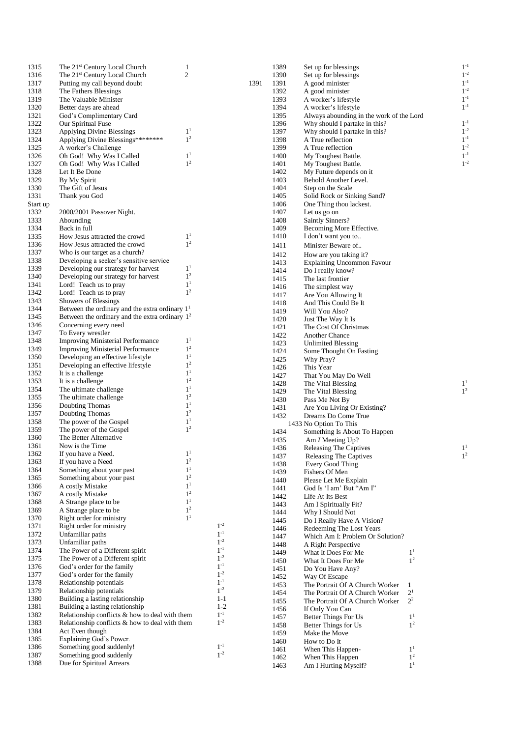| 1315     | The 21 <sup>st</sup> Century Local Church        | 1              |      | 1389 | Set up for blessings                     |                |
|----------|--------------------------------------------------|----------------|------|------|------------------------------------------|----------------|
| 1316     | The 21 <sup>st</sup> Century Local Church        | $\overline{c}$ |      | 1390 | Set up for blessings                     |                |
| 1317     | Putting my call beyond doubt                     |                | 1391 | 1391 | A good minister                          |                |
| 1318     | The Fathers Blessings                            |                |      | 1392 | A good minister                          |                |
| 1319     | The Valuable Minister                            |                |      | 1393 | A worker's lifestyle                     |                |
| 1320     | Better days are ahead                            |                |      | 1394 | A worker's lifestyle                     |                |
| 1321     | God's Complimentary Card                         |                |      | 1395 | Always abounding in the work of the Lord |                |
| 1322     | Our Spiritual Fuse                               |                |      | 1396 | Why should I partake in this?            |                |
| 1323     | <b>Applying Divine Blessings</b>                 | 1 <sup>1</sup> |      | 1397 | Why should I partake in this?            |                |
| 1324     | Applying Divine Blessings********                | 1 <sup>2</sup> |      | 1398 | A True reflection                        |                |
| 1325     | A worker's Challenge                             |                |      | 1399 | A True reflection                        |                |
| 1326     | Oh God! Why Was I Called                         | 1 <sup>1</sup> |      | 1400 | My Toughest Battle.                      |                |
| 1327     | Oh God! Why Was I Called                         | 1 <sup>2</sup> |      | 1401 | My Toughest Battle.                      |                |
| 1328     | Let It Be Done                                   |                |      | 1402 |                                          |                |
|          |                                                  |                |      |      | My Future depends on it                  |                |
| 1329     | By My Spirit                                     |                |      | 1403 | Behold Another Level.                    |                |
| 1330     | The Gift of Jesus                                |                |      | 1404 | Step on the Scale                        |                |
| 1331     | Thank you God                                    |                |      | 1405 | Solid Rock or Sinking Sand?              |                |
| Start up |                                                  |                |      | 1406 | One Thing thou lackest.                  |                |
| 1332     | 2000/2001 Passover Night.                        |                |      | 1407 | Let us go on                             |                |
| 1333     | Abounding                                        |                |      | 1408 | Saintly Sinners?                         |                |
| 1334     | Back in full                                     |                |      | 1409 | Becoming More Effective.                 |                |
| 1335     | How Jesus attracted the crowd                    | 1 <sup>1</sup> |      | 1410 | I don't want you to                      |                |
| 1336     | How Jesus attracted the crowd                    | 1 <sup>2</sup> |      | 1411 | Minister Beware of                       |                |
| 1337     | Who is our target as a church?                   |                |      | 1412 | How are you taking it?                   |                |
| 1338     | Developing a seeker's sensitive service          |                |      | 1413 | <b>Explaining Uncommon Favour</b>        |                |
| 1339     | Developing our strategy for harvest              | 1 <sup>1</sup> |      | 1414 | Do I really know?                        |                |
| 1340     | Developing our strategy for harvest              | 1 <sup>2</sup> |      | 1415 | The last frontier                        |                |
| 1341     | Lord! Teach us to pray                           | 1 <sup>1</sup> |      |      |                                          |                |
| 1342     | Lord! Teach us to pray                           | 1 <sup>2</sup> |      | 1416 | The simplest way                         |                |
| 1343     | Showers of Blessings                             |                |      | 1417 | Are You Allowing It                      |                |
| 1344     | Between the ordinary and the extra ordinary $11$ |                |      | 1418 | And This Could Be It                     |                |
|          |                                                  |                |      | 1419 | Will You Also?                           |                |
| 1345     | Between the ordinary and the extra ordinary $12$ |                |      | 1420 | Just The Way It Is                       |                |
| 1346     | Concerning every need                            |                |      | 1421 | The Cost Of Christmas                    |                |
| 1347     | To Every wrestler                                |                |      | 1422 | <b>Another Chance</b>                    |                |
| 1348     | <b>Improving Ministerial Performance</b>         | 1 <sup>1</sup> |      | 1423 | Unlimited Blessing                       |                |
| 1349     | <b>Improving Ministerial Performance</b>         | 1 <sup>2</sup> |      | 1424 | Some Thought On Fasting                  |                |
| 1350     | Developing an effective lifestyle                | 1 <sup>1</sup> |      | 1425 | Why Pray?                                |                |
| 1351     | Developing an effective lifestyle                | 1 <sup>2</sup> |      | 1426 | This Year                                |                |
| 1352     | It is a challenge                                | 1 <sup>1</sup> |      | 1427 | That You May Do Well                     |                |
| 1353     | It is a challenge                                | 1 <sup>2</sup> |      | 1428 | The Vital Blessing                       |                |
| 1354     | The ultimate challenge                           | 1 <sup>1</sup> |      |      |                                          |                |
| 1355     | The ultimate challenge                           | 1 <sup>2</sup> |      | 1429 | The Vital Blessing                       |                |
| 1356     | Doubting Thomas                                  | 1 <sup>1</sup> |      | 1430 | Pass Me Not By                           |                |
| 1357     | Doubting Thomas                                  | 1 <sup>2</sup> |      | 1431 | Are You Living Or Existing?              |                |
|          |                                                  | 1 <sup>1</sup> |      | 1432 | Dreams Do Come True                      |                |
| 1358     | The power of the Gospel                          | 1 <sup>2</sup> |      |      | 1433 No Option To This                   |                |
| 1359     | The power of the Gospel                          |                |      | 1434 | Something Is About To Happen             |                |
| 1360     | The Better Alternative                           |                |      | 1435 | Am <i>I</i> Meeting Up?                  |                |
| 1361     | Now is the Time                                  |                |      | 1436 | <b>Releasing The Captives</b>            |                |
| 1362     | If you have a Need.                              | 1 <sup>1</sup> |      | 1437 | Releasing The Captives                   |                |
| 1363     | If you have a Need                               | $1^2\,$        |      | 1438 | Every Good Thing                         |                |
| 1364     | Something about your past                        | 1 <sup>1</sup> |      | 1439 | Fishers Of Men                           |                |
| 1365     | Something about your past                        | 1 <sup>2</sup> |      | 1440 | Please Let Me Explain                    |                |
| 1366     | A costly Mistake                                 | 1 <sup>1</sup> |      | 1441 | God Is 'I am' But "Am I"                 |                |
| 1367     | A costly Mistake                                 | 1 <sup>2</sup> |      | 1442 | Life At Its Best                         |                |
| 1368     | A Strange place to be                            | 1 <sup>1</sup> |      | 1443 | Am I Spiritually Fit?                    |                |
| 1369     | A Strange place to be                            | 1 <sup>2</sup> |      | 1444 | Why I Should Not                         |                |
| 1370     | Right order for ministry                         | 1 <sup>1</sup> |      |      |                                          |                |
| 1371     | Right order for ministry                         | $1^{-2}$       |      | 1445 | Do I Really Have A Vision?               |                |
| 1372     | Unfamiliar paths                                 | $1^{-1}$       |      | 1446 | Redeeming The Lost Years                 |                |
|          |                                                  | $1^{-2}$       |      | 1447 | Which Am I: Problem Or Solution?         |                |
| 1373     | Unfamiliar paths                                 | $1^{-1}$       |      | 1448 | A Right Perspective                      |                |
| 1374     | The Power of a Different spirit                  |                |      | 1449 | What It Does For Me                      | 1 <sup>1</sup> |
| 1375     | The Power of a Different spirit                  | $1^{-2}$       |      | 1450 | What It Does For Me                      | $1^{\rm 2}$    |
| 1376     | God's order for the family                       | $1^{-1}$       |      | 1451 | Do You Have Any?                         |                |
| 1377     | God's order for the family                       | $1^{-2}$       |      | 1452 | Way Of Escape                            |                |
| 1378     | Relationship potentials                          | $1^{-1}$       |      | 1453 | The Portrait Of A Church Worker          | 1              |
| 1379     | Relationship potentials                          | $1^{-2}$       |      | 1454 | The Portrait Of A Church Worker          | 2 <sup>1</sup> |
| 1380     | Building a lasting relationship                  | $1 - 1$        |      | 1455 | The Portrait Of A Church Worker          | $2^2$          |
| 1381     | Building a lasting relationship                  | $1 - 2$        |      | 1456 | If Only You Can                          |                |
| 1382     | Relationship conflicts & how to deal with them   | $1^{-1}$       |      | 1457 | Better Things For Us                     | 1 <sup>1</sup> |
| 1383     | Relationship conflicts & how to deal with them   | $1^{-2}$       |      | 1458 | Better Things for Us                     | 1 <sup>2</sup> |
| 1384     | Act Even though                                  |                |      |      |                                          |                |
| 1385     | Explaining God's Power.                          |                |      | 1459 | Make the Move                            |                |
| 1386     | Something good suddenly!                         | $1^{-1}$       |      | 1460 | How to Do It                             |                |
| 1387     | Something good suddenly                          | $1^{-2}$       |      | 1461 | When This Happen-                        | 1 <sup>1</sup> |
|          |                                                  |                |      | 1462 | When This Happen                         | 1 <sup>2</sup> |
| 1388     | Due for Spiritual Arrears                        |                |      | 1463 | Am I Hurting Myself?                     | 1 <sup>1</sup> |

 $1^{-1}$ 

 $1^{-2}$ 

 $1^{-1}$ 

 $1^{-2}$ 

 $1^{-1}$ 

 $1^{-1}$ 

 $1^{-1}$ 

 $1^{-2}$ 

 $1^{-1}$ 

 $1^{-2}$ 

 $1^{-1}$ 

 $1^{-2}$ 

1

2

1

2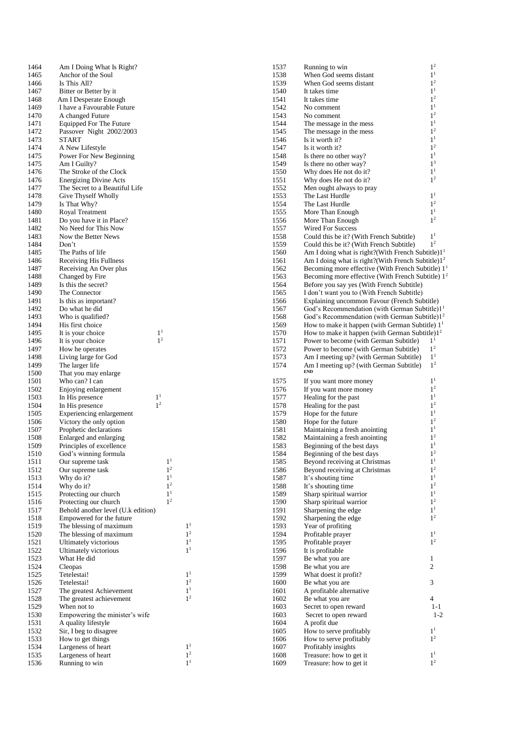| 1464         | Am I Doing What Is Right?                                      |
|--------------|----------------------------------------------------------------|
| 1465         | Anchor of the Soul                                             |
| 1466<br>1467 | Is This All?                                                   |
| 1468         | Bitter or Better by it<br>Am I Desperate Enough                |
| 1469         | I have a Favourable Future                                     |
| 1470         | A changed Future                                               |
| 1471         | Equipped For The Future                                        |
| 1472         | Passover Night 2002/2003                                       |
| 1473<br>1474 | <b>START</b>                                                   |
| 1475         | A New Lifestyle<br>Power For New Beginning                     |
| 1475         | Am I Guilty?                                                   |
| 1476         | The Stroke of the Clock                                        |
| 1476         | <b>Energizing Divine Acts</b>                                  |
| 1477         | The Secret to a Beautiful Life                                 |
| 1478<br>1479 | Give Thyself Wholly<br>Is That Why?                            |
| 1480         | Royal Treatment                                                |
| 1481         | Do you have it in Place?                                       |
| 1482         | No Need for This Now                                           |
| 1483         | Now the Better News                                            |
| 1484<br>1485 | Don't                                                          |
| 1486         | The Paths of life<br>Receiving His Fullness                    |
| 1487         | Receiving An Over plus                                         |
| 1488         | Changed by Fire                                                |
| 1489         | Is this the secret?                                            |
| 1490         | The Connector                                                  |
| 1491<br>1492 | Is this as important?<br>Do what he did                        |
| 1493         | Who is qualified?                                              |
| 1494         | His first choice                                               |
| 1495         | 1 <sup>1</sup><br>It is your choice                            |
| 1496         | 1 <sup>2</sup><br>It is your choice                            |
| 1497         | How he operates                                                |
| 1498<br>1499 | Living large for God<br>The larger life                        |
| 1500         | That you may enlarge                                           |
| 1501         | Who can? I can                                                 |
| 1502         | Enjoying enlargement                                           |
| 1503         | $1^1$<br>In His presence<br>1 <sup>2</sup>                     |
| 1504<br>1505 | In His presence<br>Experiencing enlargement                    |
| 1506         | Victory the only option                                        |
| 1507         | Prophetic declarations                                         |
| 1508         | Enlarged and enlarging                                         |
| 1509         | Principles of excellence                                       |
| 1510<br>1511 | God's winning formula<br>1 <sup>1</sup><br>Our supreme task    |
| 1512         | 1 <sup>2</sup><br>Our supreme task                             |
| 1513         | $1^1$<br>Why do it?                                            |
| 1514         | 1 <sup>2</sup><br>Why do it?                                   |
| 1515         | $1^1$<br>Protecting our church                                 |
| 1516         | 1 <sup>2</sup><br>Protecting our church                        |
| 1517<br>1518 | Behold another level (U.k edition)<br>Empowered for the future |
| 1519         | The blessing of maximum                                        |
| 1520         | The blessing of maximum                                        |
| 1521         | Ultimately victorious                                          |
| 1522         | Ultimately victorious                                          |
| 1523         | What He did                                                    |
| 1524<br>1525 | Cleopas<br>Tetelestai!                                         |
| 1526         | Tetelestai!                                                    |
| 1527         | The greatest Achievement                                       |
| 1528         | The greatest achievement                                       |
| 1529         | When not to                                                    |
| 1530<br>1531 | Empowering the minister's wife<br>A quality lifestyle          |
| 1532         | Sir, I beg to disagree                                         |
| 1533         | How to get things                                              |
| 1534         | Largeness of heart                                             |
| 1535         | Largeness of heart                                             |
| 1536         | Running to win                                                 |

1

2

1

1

1

2

1

2

1

2

1

| 1537 | Running to win                                                | $1^2$          |
|------|---------------------------------------------------------------|----------------|
|      |                                                               | $1^1$          |
| 1538 | When God seems distant                                        |                |
| 1539 | When God seems distant                                        | 1 <sup>2</sup> |
| 1540 | It takes time                                                 | 1 <sup>1</sup> |
| 1541 | It takes time                                                 | 1 <sup>2</sup> |
|      |                                                               | $1^1$          |
| 1542 | No comment                                                    |                |
| 1543 | No comment                                                    | 1 <sup>2</sup> |
| 1544 | The message in the mess                                       | $1^1$          |
| 1545 | The message in the mess                                       | 1 <sup>2</sup> |
| 1546 | Is it worth it?                                               | $1^1$          |
|      |                                                               |                |
| 1547 | Is it worth it?                                               | 1 <sup>2</sup> |
| 1548 | Is there no other way?                                        | 1 <sup>1</sup> |
| 1549 | Is there no other way?                                        | 1 <sup>3</sup> |
| 1550 | Why does He not do it?                                        | 1 <sup>1</sup> |
| 1551 |                                                               | 1 <sup>2</sup> |
|      | Why does He not do it?                                        |                |
| 1552 | Men ought always to pray                                      |                |
| 1553 | The Last Hurdle                                               | $1^1$          |
| 1554 | The Last Hurdle                                               | 1 <sup>2</sup> |
| 1555 | More Than Enough                                              | $1^1$          |
| 1556 | More Than Enough                                              | 1 <sup>2</sup> |
|      |                                                               |                |
| 1557 | <b>Wired For Success</b>                                      |                |
| 1558 | Could this be it? (With French Subtitle)                      | 1 <sup>1</sup> |
| 1559 | Could this be it? (With French Subtitle)                      | 1 <sup>2</sup> |
| 1560 | Am I doing what is right? (With French Subtitle) $11$         |                |
| 1561 | Am I doing what is right?(With French Subtitle)1 <sup>2</sup> |                |
|      |                                                               |                |
| 1562 | Becoming more effective (With French Subtitle) 1 <sup>1</sup> |                |
| 1563 | Becoming more effective (With French Subtitle) 1 <sup>2</sup> |                |
| 1564 | Before you say yes (With French Subtitle)                     |                |
| 1565 | I don't want you to (With French Subtitle)                    |                |
| 1566 | Explaining uncommon Favour (French Subtitle)                  |                |
|      |                                                               |                |
| 1567 | God's Recommendation (with German Subtitle) $11$              |                |
| 1568 | God's Recommendation (with German Subtitle) $12$              |                |
| 1569 | How to make it happen (with German Subtitle) $11$             |                |
| 1570 | How to make it happen (with German Subtitle) $12$             |                |
| 1571 | Power to become (with German Subtitle)                        | 1 <sup>1</sup> |
| 1572 | Power to become (with German Subtitle)                        | 1 <sup>2</sup> |
| 1573 | Am I meeting up? (with German Subtitle)                       | $1^1$          |
|      |                                                               |                |
|      |                                                               |                |
| 1574 | Am I meeting up? (with German Subtitle)                       | 1 <sup>2</sup> |
|      | <b>END</b>                                                    |                |
| 1575 | If you want more money                                        | $1^1$          |
|      |                                                               | 1 <sup>2</sup> |
| 1576 | If you want more money                                        |                |
| 1577 | Healing for the past                                          | 1 <sup>1</sup> |
| 1578 | Healing for the past                                          | 1 <sup>2</sup> |
| 1579 | Hope for the future                                           | $1^1$          |
| 1580 | Hope for the future                                           | 1 <sup>2</sup> |
|      |                                                               | $1^1$          |
| 1581 | Maintaining a fresh anointing                                 |                |
| 1582 | Maintaining a fresh anointing                                 | 1 <sup>2</sup> |
| 1583 | Beginning of the best days                                    | 1 <sup>1</sup> |
| 1584 | Beginning of the best days                                    | 1 <sup>2</sup> |
| 1585 | Beyond receiving at Christmas                                 | $1^1$          |
|      |                                                               | $1^2$          |
| 1586 | Beyond receiving at Christmas                                 |                |
| 1587 | It's shouting time                                            | $1^1$          |
| 1588 | It's shouting time                                            | 1 <sup>2</sup> |
| 1589 | Sharp spiritual warrior                                       | $1^1$          |
| 1590 | Sharp spiritual warrior                                       | $1^2$          |
| 1591 | Sharpening the edge                                           | $1^1$          |
|      |                                                               | 1 <sup>2</sup> |
| 1592 | Sharpening the edge                                           |                |
| 1593 | Year of profiting                                             |                |
| 1594 | Profitable prayer                                             | $1^1$          |
| 1595 | Profitable prayer                                             | 1 <sup>2</sup> |
| 1596 | It is profitable                                              |                |
| 1597 | Be what you are                                               | 1              |
| 1598 |                                                               | $\overline{2}$ |
|      | Be what you are                                               |                |
| 1599 | What doest it profit?                                         |                |
| 1600 | Be what you are                                               | 3              |
| 1601 | A profitable alternative                                      |                |
| 1602 | Be what you are                                               | 4              |
| 1603 | Secret to open reward                                         | $1 - 1$        |
| 1603 | Secret to open reward                                         | $1-2$          |
| 1604 | A profit due                                                  |                |
|      |                                                               | $1^1$          |
| 1605 | How to serve profitably                                       |                |
| 1606 | How to serve profitably                                       | 1 <sup>2</sup> |
| 1607 | Profitably insights                                           |                |
| 1608 | Treasure: how to get it                                       | $1^1$          |
| 1609 | Treasure: how to get it                                       | 1 <sup>2</sup> |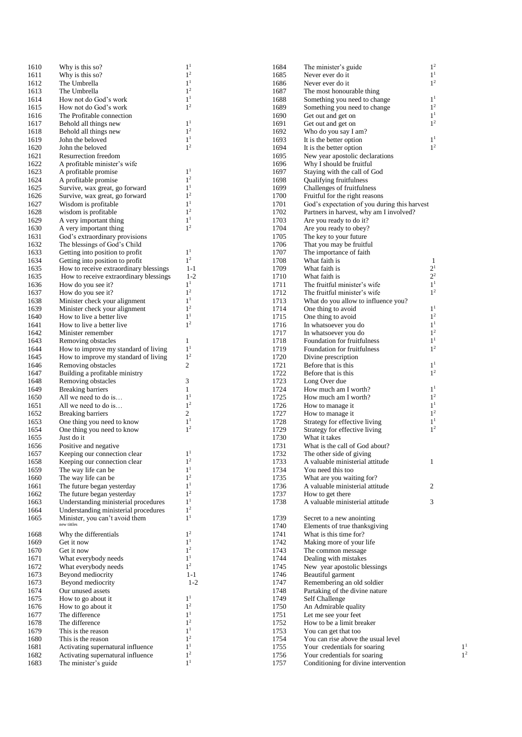| 1610         | Why is this so?                                      | 1 <sup>1</sup>                   | 1684         | The minister's guide                                     | 1 <sup>2</sup>                   |
|--------------|------------------------------------------------------|----------------------------------|--------------|----------------------------------------------------------|----------------------------------|
| 1611         | Why is this so?                                      | 1 <sup>2</sup>                   | 1685         | Never ever do it                                         | $1^1\,$                          |
| 1612         | The Umbrella                                         | 1 <sup>1</sup>                   | 1686         | Never ever do it                                         | 1 <sup>2</sup>                   |
| 1613         | The Umbrella                                         | 1 <sup>2</sup>                   | 1687         | The most honourable thing                                |                                  |
| 1614         | How not do God's work                                | 1 <sup>1</sup>                   | 1688         | Something you need to change                             | 1 <sup>1</sup>                   |
| 1615         | How not do God's work                                | 1 <sup>2</sup>                   | 1689         | Something you need to change                             | 1 <sup>2</sup>                   |
| 1616         | The Profitable connection                            |                                  | 1690         | Get out and get on                                       | 1 <sup>1</sup>                   |
| 1617         | Behold all things new                                | 1 <sup>1</sup>                   | 1691         | Get out and get on                                       | 1 <sup>2</sup>                   |
| 1618         | Behold all things new                                | 1 <sup>2</sup>                   | 1692         | Who do you say I am?                                     |                                  |
| 1619         | John the beloved                                     | 1 <sup>1</sup><br>1 <sup>2</sup> | 1693         | It is the better option                                  | 1 <sup>1</sup><br>1 <sup>2</sup> |
| 1620         | John the beloved                                     |                                  | 1694         | It is the better option                                  |                                  |
| 1621         | Resurrection freedom<br>A profitable minister's wife |                                  | 1695         | New year apostolic declarations                          |                                  |
| 1622<br>1623 | A profitable promise                                 | 1 <sup>1</sup>                   | 1696<br>1697 | Why I should be fruitful<br>Staying with the call of God |                                  |
| 1624         | A profitable promise                                 | 1 <sup>2</sup>                   | 1698         | Qualifying fruitfulness                                  |                                  |
| 1625         | Survive, wax great, go forward                       | 1 <sup>1</sup>                   | 1699         | Challenges of fruitfulness                               |                                  |
| 1626         | Survive, wax great, go forward                       | 1 <sup>2</sup>                   | 1700         | Fruitful for the right reasons                           |                                  |
| 1627         | Wisdom is profitable                                 | 1 <sup>1</sup>                   | 1701         | God's expectation of you during this harvest             |                                  |
| 1628         | wisdom is profitable                                 | 1 <sup>2</sup>                   | 1702         | Partners in harvest, why am I involved?                  |                                  |
| 1629         | A very important thing                               | 1 <sup>1</sup>                   | 1703         | Are you ready to do it?                                  |                                  |
| 1630         | A very important thing                               | 1 <sup>2</sup>                   | 1704         | Are you ready to obey?                                   |                                  |
| 1631         | God's extraordinary provisions                       |                                  | 1705         | The key to your future                                   |                                  |
| 1632         | The blessings of God's Child                         |                                  | 1706         | That you may be fruitful                                 |                                  |
| 1633         | Getting into position to profit                      | 1 <sup>1</sup>                   | 1707         | The importance of faith                                  |                                  |
| 1634         | Getting into position to profit                      | 1 <sup>2</sup>                   | 1708         | What faith is                                            | 1                                |
| 1635         | How to receive extraordinary blessings               | $1 - 1$                          | 1709         | What faith is                                            | $2^{\scriptscriptstyle 1}$       |
| 1635         | How to receive extraordinary blessings               | $1 - 2$                          | 1710         | What faith is                                            | $2^2\,$                          |
| 1636         | How do you see it?                                   | 1 <sup>1</sup>                   | 1711         | The fruitful minister's wife                             | $1^1\,$                          |
| 1637         | How do you see it?                                   | 1 <sup>2</sup>                   | 1712         | The fruitful minister's wife                             | 1 <sup>2</sup>                   |
| 1638         | Minister check your alignment                        | 1 <sup>1</sup>                   | 1713         | What do you allow to influence you?                      |                                  |
| 1639         | Minister check your alignment                        | 1 <sup>2</sup>                   | 1714         | One thing to avoid                                       | 1 <sup>1</sup>                   |
| 1640         | How to live a better live                            | 1 <sup>1</sup>                   | 1715         | One thing to avoid                                       | $1^2\,$                          |
| 1641         | How to live a better live                            | 1 <sup>2</sup>                   | 1716         | In whatsoever you do                                     | 1 <sup>1</sup>                   |
| 1642         | Minister remember                                    |                                  | 1717         | In whatsoever you do                                     | 1 <sup>2</sup>                   |
| 1643         | Removing obstacles                                   | $\mathbf{1}$                     | 1718         | Foundation for fruitfulness                              | 1 <sup>1</sup><br>1 <sup>2</sup> |
| 1644         | How to improve my standard of living                 | 1 <sup>1</sup>                   | 1719         | Foundation for fruitfulness                              |                                  |
| 1645         | How to improve my standard of living                 | 1 <sup>2</sup>                   | 1720<br>1721 | Divine prescription                                      | 1 <sup>1</sup>                   |
| 1646<br>1647 | Removing obstacles                                   | $\boldsymbol{2}$                 | 1722         | Before that is this                                      | 1 <sup>2</sup>                   |
| 1648         | Building a profitable ministry<br>Removing obstacles | 3                                | 1723         | Before that is this<br>Long Over due                     |                                  |
| 1649         | <b>Breaking barriers</b>                             | 1                                | 1724         | How much am I worth?                                     | 1 <sup>1</sup>                   |
| 1650         | All we need to do is                                 | 1 <sup>1</sup>                   | 1725         | How much am I worth?                                     | 1 <sup>2</sup>                   |
| 1651         | All we need to do is                                 | 1 <sup>2</sup>                   | 1726         | How to manage it                                         | 1 <sup>1</sup>                   |
| 1652         | <b>Breaking barriers</b>                             | 2                                | 1727         | How to manage it                                         | $1^2\,$                          |
| 1653         | One thing you need to know                           | 1 <sup>1</sup>                   | 1728         | Strategy for effective living                            | $1^{\rm 1}$                      |
| 1654         | One thing you need to know                           | 1 <sup>2</sup>                   | 1729         | Strategy for effective living                            | 1 <sup>2</sup>                   |
| 1655         | Just do it                                           |                                  | 1730         | What it takes                                            |                                  |
| 1656         | Positive and negative                                |                                  | 1731         | What is the call of God about?                           |                                  |
| 1657         | Keeping our connection clear                         | 1 <sup>1</sup>                   | 1732         | The other side of giving                                 |                                  |
| 1658         | Keeping our connection clear                         | $1^{\rm 2}$                      | 1733         | A valuable ministerial attitude                          | $\mathbf{1}$                     |
| 1659         | The way life can be                                  | 1 <sup>1</sup>                   | 1734         | You need this too                                        |                                  |
| 1660         | The way life can be                                  | 1 <sup>2</sup>                   | 1735         | What are you waiting for?                                |                                  |
| 1661         | The future began yesterday                           | 1 <sup>1</sup>                   | 1736         | A valuable ministerial attitude                          | $\overline{c}$                   |
| 1662         | The future began yesterday                           | 1 <sup>2</sup>                   | 1737         | How to get there                                         |                                  |
| 1663         | Understanding ministerial procedures                 | 1 <sup>1</sup>                   | 1738         | A valuable ministerial attitude                          | 3                                |
| 1664         | Understanding ministerial procedures                 | 1 <sup>2</sup>                   |              |                                                          |                                  |
| 1665         | Minister, you can't avoid them                       | 1 <sup>1</sup>                   | 1739         | Secret to a new anointing                                |                                  |
|              | new tittles                                          |                                  | 1740         | Elements of true thanksgiving                            |                                  |
| 1668         | Why the differentials                                | 1 <sup>2</sup>                   | 1741         | What is this time for?                                   |                                  |
| 1669         | Get it now                                           | 1 <sup>1</sup>                   | 1742         | Making more of your life                                 |                                  |
| 1670         | Get it now                                           | 1 <sup>2</sup>                   | 1743         | The common message                                       |                                  |
| 1671         | What everybody needs                                 | 1 <sup>1</sup><br>1 <sup>2</sup> | 1744         | Dealing with mistakes                                    |                                  |
| 1672         | What everybody needs                                 |                                  | 1745         | New year apostolic blessings                             |                                  |
| 1673         | Beyond mediocrity                                    | $1 - 1$                          | 1746         | Beautiful garment                                        |                                  |
| 1673<br>1674 | Beyond mediocrity                                    | $1 - 2$                          | 1747         | Remembering an old soldier                               |                                  |
| 1675         | Our unused assets<br>How to go about it              | 1 <sup>1</sup>                   | 1748<br>1749 | Partaking of the divine nature<br>Self Challenge         |                                  |
| 1676         | How to go about it                                   | 1 <sup>2</sup>                   | 1750         | An Admirable quality                                     |                                  |
| 1677         | The difference                                       | 1 <sup>1</sup>                   | 1751         | Let me see your feet                                     |                                  |
| 1678         | The difference                                       | 1 <sup>2</sup>                   | 1752         | How to be a limit breaker                                |                                  |
| 1679         | This is the reason                                   | 1 <sup>1</sup>                   | 1753         | You can get that too                                     |                                  |
| 1680         | This is the reason                                   | 1 <sup>2</sup>                   | 1754         | You can rise above the usual level                       |                                  |
| 1681         | Activating supernatural influence                    | 1 <sup>1</sup>                   | 1755         | Your credentials for soaring                             |                                  |
| 1682         | Activating supernatural influence                    | 1 <sup>2</sup>                   | 1756         | Your credentials for soaring                             |                                  |
| 1683         | The minister's guide                                 | 1 <sup>1</sup>                   | 1757         | Conditioning for divine intervention                     |                                  |
|              |                                                      |                                  |              |                                                          |                                  |

| $\mathbf{I}$ |  |  |
|--------------|--|--|

 $\frac{1}{1^2}$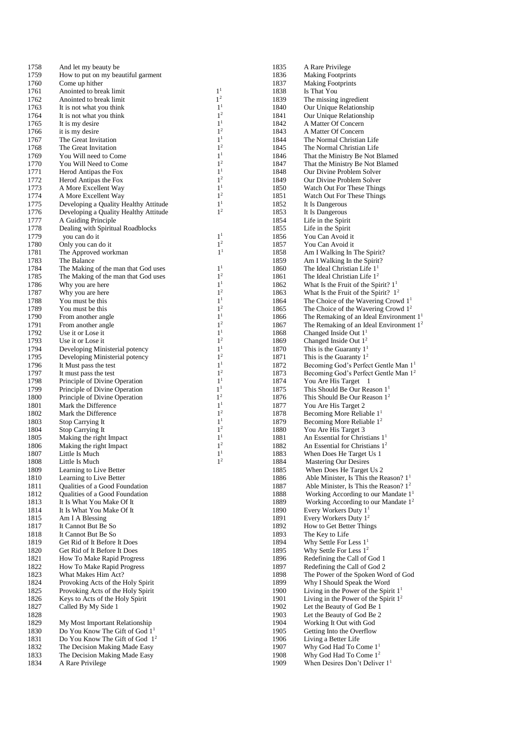| 1758         | And let my beauty be                                           |                                  | 1835         | A Rare Privilege                                                                |
|--------------|----------------------------------------------------------------|----------------------------------|--------------|---------------------------------------------------------------------------------|
| 1759         | How to put on my beautiful garment                             |                                  | 1836         | <b>Making Footprints</b>                                                        |
| 1760         | Come up hither                                                 |                                  | 1837         | <b>Making Footprints</b>                                                        |
| 1761         | Anointed to break limit                                        | 1 <sup>1</sup><br>1 <sup>2</sup> | 1838         | Is That You                                                                     |
| 1762         | Anointed to break limit                                        | 1 <sup>1</sup>                   | 1839<br>1840 | The missing ingredient                                                          |
| 1763<br>1764 | It is not what you think<br>It is not what you think           | 1 <sup>2</sup>                   | 1841         | Our Unique Relationship<br>Our Unique Relationship                              |
| 1765         | It is my desire                                                | 1 <sup>1</sup>                   | 1842         | A Matter Of Concern                                                             |
| 1766         | it is my desire                                                | 1 <sup>2</sup>                   | 1843         | A Matter Of Concern                                                             |
| 1767         | The Great Invitation                                           | 1 <sup>1</sup>                   | 1844         | The Normal Christian Life                                                       |
| 1768         | The Great Invitation                                           | 1 <sup>2</sup>                   | 1845         | The Normal Christian Life                                                       |
| 1769         | You Will need to Come                                          | 1 <sup>1</sup>                   | 1846         | That the Ministry Be Not Blamed                                                 |
| 1770         | You Will Need to Come                                          | 1 <sup>2</sup>                   | 1847         | That the Ministry Be Not Blamed                                                 |
| 1771         | Herod Antipas the Fox                                          | 1 <sup>1</sup>                   | 1848         | Our Divine Problem Solver                                                       |
| 1772         | Herod Antipas the Fox                                          | 1 <sup>2</sup>                   | 1849         | Our Divine Problem Solver                                                       |
| 1773         | A More Excellent Way                                           | 1 <sup>1</sup>                   | 1850         | Watch Out For These Things                                                      |
| 1774         | A More Excellent Way                                           | 1 <sup>2</sup>                   | 1851         | Watch Out For These Things                                                      |
| 1775         | Developing a Quality Healthy Attitude                          | 1 <sup>1</sup>                   | 1852         | It Is Dangerous                                                                 |
| 1776         | Developing a Quality Healthy Attitude                          | 1 <sup>2</sup>                   | 1853         | It Is Dangerous                                                                 |
| 1777         | A Guiding Principle                                            |                                  | 1854         | Life in the Spirit                                                              |
| 1778         | Dealing with Spiritual Roadblocks                              | 1 <sup>1</sup>                   | 1855         | Life in the Spirit                                                              |
| 1779<br>1780 | you can do it<br>Only you can do it                            | 1 <sup>2</sup>                   | 1856<br>1857 | You Can Avoid it<br>You Can Avoid it                                            |
| 1781         | The Approved workman                                           | 1 <sup>1</sup>                   | 1858         | Am I Walking In The Spirit?                                                     |
| 1783         | The Balance                                                    |                                  | 1859         | Am I Walking In the Spirit?                                                     |
| 1784         | The Making of the man that God uses                            | 1 <sup>1</sup>                   | 1860         | The Ideal Christian Life $11$                                                   |
| 1785         | The Making of the man that God uses                            | 1 <sup>2</sup>                   | 1861         | The Ideal Christian Life $12$                                                   |
| 1786         | Why you are here                                               | 1 <sup>1</sup>                   | 1862         | What Is the Fruit of the Spirit? $11$                                           |
| 1787         | Why you are here                                               | 1 <sup>2</sup>                   | 1863         | What Is the Fruit of the Spirit? $1^2$                                          |
| 1788         | You must be this                                               | 1 <sup>1</sup>                   | 1864         | The Choice of the Wavering Crowd $11$                                           |
| 1789         | You must be this                                               | 1 <sup>2</sup>                   | 1865         | The Choice of the Wavering Crowd $12$                                           |
| 1790         | From another angle                                             | 1 <sup>1</sup>                   | 1866         | The Remaking of an Ideal Environment 1 <sup>1</sup>                             |
| 1791         | From another angle                                             | 1 <sup>2</sup>                   | 1867         | The Remaking of an Ideal Environment $12$                                       |
| 1792         | Use it or Lose it                                              | 1 <sup>1</sup>                   | 1868         | Changed Inside Out 1 <sup>1</sup>                                               |
| 1793         | Use it or Lose it                                              | 1 <sup>2</sup>                   | 1869         | Changed Inside Out $12$                                                         |
| 1794         | Developing Ministerial potency                                 | 1 <sup>1</sup>                   | 1870         | This is the Guaranty $11$                                                       |
| 1795         | Developing Ministerial potency                                 | 1 <sup>2</sup>                   | 1871         | This is the Guaranty $12$                                                       |
| 1796         | It Must pass the test                                          | 1 <sup>1</sup>                   | 1872         | Becoming God's Perfect Gentle Man 1 <sup>1</sup>                                |
| 1797         | It must pass the test                                          | 1 <sup>2</sup>                   | 1873         | Becoming God's Perfect Gentle Man 1 <sup>2</sup>                                |
| 1798         | Principle of Divine Operation                                  | 1 <sup>1</sup><br>1 <sup>1</sup> | 1874         | You Are His Target 1<br>This Should Be Our Reason 1 <sup>1</sup>                |
| 1799<br>1800 | Principle of Divine Operation<br>Principle of Divine Operation | 1 <sup>2</sup>                   | 1875<br>1876 | This Should Be Our Reason 1 <sup>2</sup>                                        |
| 1801         | Mark the Difference                                            | 1 <sup>1</sup>                   | 1877         | You Are His Target 2                                                            |
| 1802         | Mark the Difference                                            | 1 <sup>2</sup>                   | 1878         | Becoming More Reliable $11$                                                     |
| 1803         | <b>Stop Carrying It</b>                                        | 1 <sup>1</sup>                   | 1879         | Becoming More Reliable $12$                                                     |
| 1804         | Stop Carrying It                                               | 1 <sup>2</sup>                   | 1880         | You Are His Target 3                                                            |
| 1805         | Making the right Impact                                        | 1 <sup>1</sup>                   | 1881         | An Essential for Christians $11$                                                |
| 1806         | Making the right Impact                                        | 1 <sup>2</sup>                   | 1882         | An Essential for Christians $12$                                                |
| 1807         | Little Is Much                                                 | 1 <sup>1</sup>                   | 1883         | When Does He Target Us 1                                                        |
| 1808         | Little Is Much                                                 | 1 <sup>2</sup>                   | 1884         | <b>Mastering Our Desires</b>                                                    |
| 1809         | Learning to Live Better                                        |                                  | 1885         | When Does He Target Us 2                                                        |
| 1810         | Learning to Live Better                                        |                                  | 1886         | Able Minister, Is This the Reason? $11$                                         |
| 1811         | Qualities of a Good Foundation                                 |                                  | 1887         | Able Minister, Is This the Reason? $12$                                         |
| 1812         | Qualities of a Good Foundation                                 |                                  | 1888         | Working According to our Mandate $11$                                           |
| 1813         | It Is What You Make Of It                                      |                                  | 1889         | Working According to our Mandate $12$                                           |
| 1814         | It Is What You Make Of It                                      |                                  | 1890         | Every Workers Duty $11$                                                         |
| 1815<br>1817 | Am I A Blessing<br>It Cannot But Be So                         |                                  | 1891<br>1892 | Every Workers Duty $12$<br>How to Get Better Things                             |
| 1818         | It Cannot But Be So                                            |                                  | 1893         | The Key to Life                                                                 |
| 1819         | Get Rid of It Before It Does                                   |                                  | 1894         | Why Settle For Less $11$                                                        |
| 1820         | Get Rid of It Before It Does                                   |                                  | 1895         | Why Settle For Less $12$                                                        |
| 1821         | How To Make Rapid Progress                                     |                                  | 1896         | Redefining the Call of God 1                                                    |
| 1822         | <b>How To Make Rapid Progress</b>                              |                                  | 1897         | Redefining the Call of God 2                                                    |
| 1823         | What Makes Him Act?                                            |                                  | 1898         | The Power of the Spoken Word of God                                             |
| 1824         | Provoking Acts of the Holy Spirit                              |                                  | 1899         | Why I Should Speak the Word                                                     |
| 1825         | Provoking Acts of the Holy Spirit                              |                                  | 1900         | Living in the Power of the Spirit $11$                                          |
| 1826         | Keys to Acts of the Holy Spirit                                |                                  | 1901         | Living in the Power of the Spirit $12$                                          |
| 1827         | Called By My Side 1                                            |                                  | 1902         | Let the Beauty of God Be 1                                                      |
| 1828         |                                                                |                                  | 1903         | Let the Beauty of God Be 2                                                      |
| 1829         | My Most Important Relationship                                 |                                  | 1904         | Working It Out with God                                                         |
| 1830         | Do You Know The Gift of God 1 <sup>1</sup>                     |                                  | 1905         | Getting Into the Overflow                                                       |
| 1831         | Do You Know The Gift of God $12$                               |                                  | 1906         | Living a Better Life                                                            |
| 1832         | The Decision Making Made Easy                                  |                                  | 1907         | Why God Had To Come 1 <sup>1</sup>                                              |
| 1833<br>1834 | The Decision Making Made Easy<br>A Rare Privilege              |                                  | 1908<br>1909 | Why God Had To Come 1 <sup>2</sup><br>When Desires Don't Deliver 1 <sup>1</sup> |
|              |                                                                |                                  |              |                                                                                 |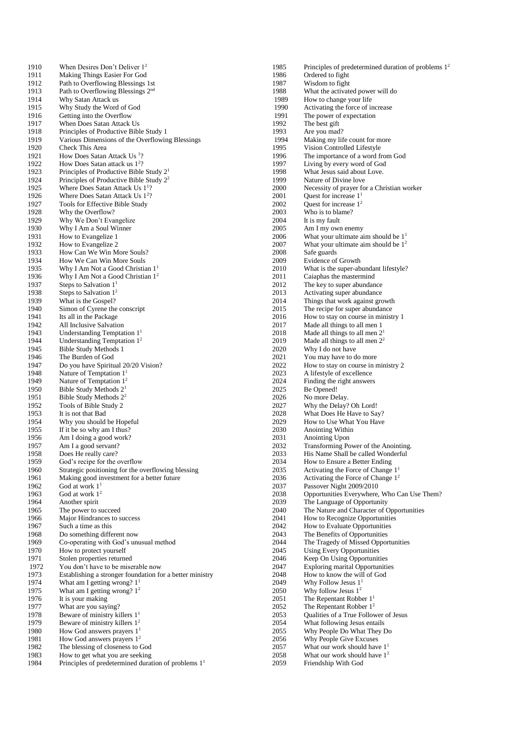1910 When Desires Don't Deliver 1<sup>2</sup><br>1911 Making Things Easier For God 1911 Making Things Easier For God<br>1912 Path to Overflowing Blessings 1912 Path to Overflowing Blessings 1st<br>1913 Path to Overflowing Blessings  $2<sup>nd</sup>$ 1913 Path to Overflowing Blessings  $2<sup>nd</sup>$ <br>1914 Why Satan Attack us Why Satan Attack us 1915 Why Study the Word of God 1916 Getting into the Overflow 1917 When Does Satan Attack Us<br>1918 Principles of Productive Bibl 1918 Principles of Productive Bible Study 1<br>1919 Various Dimensions of the Overflowin 1919 Various Dimensions of the Overflowing Blessings<br>1920 Check This Area Check This Area 1921 How Does Satan Attack Us<sup>1</sup>? 1922 How Does Satan attack us 1<sup>2</sup>? 1923 Principles of Productive Bible Study  $2^1$ <br>1924 Principles of Productive Bible Study  $2^2$ 1924 Principles of Productive Bible Study  $2^2$ <br>1925 Where Does Satan Attack Us  $1^{12}$ 1925 Where Does Satan Attack Us 1<sup>1</sup>? 1926 Where Does Satan Attack Us 1<sup>2</sup>? 1927 Tools for Effective Bible Study 1928 Why the Overflow? 1929 Why We Don't Evangelize<br>1930 Why I Am a Soul Winner 1930 Why I Am a Soul Winner<br>1931 How to Evangelize 1 1931 How to Evangelize 1<br>1932 How to Evangelize 2 1932 How to Evangelize 2<br>1933 How Can We Win M How Can We Win More Souls? 1934 How We Can Win More Souls<br>1935 Why I Am Not a Good Christia Why I Am Not a Good Christian  $1<sup>1</sup>$ 1936 Why I Am Not a Good Christian  $1^2$ <br>1937 Steps to Salvation  $1^1$ 1937 Steps to Salvation  $1^1$ <br>1938 Steps to Salvation  $1^2$ 1938 Steps to Salvation  $1^2$ <br>1939 What is the Gospel? What is the Gospel? 1940 Simon of Cyrene the conscript<br>1941 Its all in the Package 1941 Its all in the Package<br>1942 All Inclusive Salvatic All Inclusive Salvation 1943 Understanding Temptation  $1^1$ <br>1944 Understanding Temptation  $1^2$ 1944 Understanding Temptation 1<sup>2</sup><br>1945 Bible Study Methods 1 Bible Study Methods 1 1946 The Burden of God 1947 Do you have Spiritual 20/20 Vision?<br>1948 Nature of Temptation  $1<sup>1</sup>$ 1948 Nature of Temptation  $1^1$ <br>1949 Nature of Temptation  $1^2$ 1949 Nature of Temptation  $1^2$ <br>1950 Bible Study Methods  $2^1$ 1950 Bible Study Methods  $2^1$ <br>1951 Bible Study Methods  $2^2$ 1951 Bible Study Methods  $2^2$ <br>1952 Tools of Bible Study 2 Tools of Bible Study 2 1953 It is not that Bad 1954 Why you should be Hopeful<br>1955 If it be so why am I thus? 1955 If it be so why am I thus?<br>1956 Am I doing a good work? Am I doing a good work? 1957 Am I a good servant?<br>1958 Does He really care? 1958 Does He really care?<br>1959 God's recipe for the c God's recipe for the overflow 1960 Strategic positioning for the overflowing blessing 1961 Making good investment for a better future<br>1962 God at work  $1<sup>1</sup>$ 1962 God at work  $1^1$ <br>1963 God at work  $1^2$ God at work  $1<sup>2</sup>$ 1964 Another spirit 1965 The power to succeed<br>1966 Maior Hindrances to s Major Hindrances to success 1967 Such a time as this 1968 Do something different now 1969 Co-operating with God's unusual method<br>1970 How to protect vourself 1970 How to protect yourself<br>1971 Stolen properties returns Stolen properties returned 1972 You don't have to be miserable now<br>1973 Establishing a stronger foundation for 1973 Establishing a stronger foundation for a better ministry<br>1974 What am I getting wrong?  $1<sup>1</sup>$ What am I getting wrong?  $1<sup>1</sup>$ 1975 What am I getting wrong? 1<sup>2</sup> 1976 It is your making<br>1977 What are you say What are you saying? 1978 Beware of ministry killers 1<sup>1</sup> 1979 Beware of ministry killers 1<sup>2</sup> 1980 How God answers prayers  $1<sup>1</sup>$ <br>1981 How God answers prayers  $1<sup>2</sup>$ 1981 How God answers prayers  $1^2$ <br>1982 The blessing of closeness to C The blessing of closeness to God 1983 How to get what you are seeking<br>1984 Principles of predetermined durat Principles of predetermined duration of problems  $1<sup>1</sup>$ 

1985 Principles of predetermined duration of problems  $1<sup>2</sup>$ <br>1986 Ordered to fight 1986 Ordered to fight<br>1987 Wisdom to fight 1987 Wisdom to fight<br>1988 What the activate 1988 What the activated power will do<br>1989 How to change your life 1989 How to change your life<br>1990 Activating the force of in 1990 Activating the force of increase<br>1991 The power of expectation 1991 The power of expectation<br>1992 The best gift 1992 The best gift<br>1993 Are you mad 1993 Are you mad?<br>1994 Making my lif 1994 Making my life count for more<br>1995 Vision Controlled Lifestyle 1995 Vision Controlled Lifestyle<br>1996 The importance of a word fr 1996 The importance of a word from God<br>1997 I iving by every word of God 1997 Living by every word of God<br>1998 What Jesus said about Love. 1998 What Jesus said about Love.<br>1999 Nature of Divine love 1999 Nature of Divine love<br>2000 Necessity of prayer for 2000 Necessity of prayer for a Christian worker<br>
2001 Ouest for increase  $1<sup>1</sup>$ Quest for increase  $1<sup>1</sup>$ 2002 Quest for increase  $1^2$ <br>2003 Who is to blame? 2003 Who is to blame?<br>2004 It is my fault 2004 It is my fault<br>2005 Am I my own 2005 Am I my own enemy<br>2006 What your ultimate ai 2006 What your ultimate aim should be  $1<sup>1</sup>$ <br>2007 What your ultimate aim should be  $1<sup>2</sup>$ 2007 What your ultimate aim should be  $1<sup>2</sup>$  2008 Safe guards 2008 Safe guards<br>2009 Evidence of 2009 Evidence of Growth<br>2010 What is the super-ab 2010 What is the super-abundant lifestyle?<br>2011 Caianhas the mastermind 2011 Caiaphas the mastermind<br>2012 The key to super abundance 2012 The key to super abundance<br>2013 Activating super abundance 2013 Activating super abundance<br>2014 Things that work against gro Things that work against growth 2015 The recipe for super abundance<br>2016 How to stay on course in minist 2016 How to stay on course in ministry 1<br>2017 Made all things to all men 1 Made all things to all men 1 2018 Made all things to all men  $2^1$ <br>2019 Made all things to all men  $2^2$ 2019 Made all things to all men  $2^2$ <br>2020 Why I do not have Why I do not have 2021 You may have to do more 2022 How to stay on course in ministry 2<br>2023 A lifestyle of excellence 2023 A lifestyle of excellence<br>2024 Finding the right answer 2024 Finding the right answers<br>
2025 Be Opened! 2025 Be Opened!<br>2026 No more De 2026 No more Delay.<br>2027 Why the Delay? 2027 Why the Delay? Oh Lord!<br>2028 What Does He Have to Sa What Does He Have to Say? 2029 How to Use What You Have<br>2030 Apointing Within 2030 Anointing Within<br>2031 Anointing Upon 2031 Anointing Upon<br>2032 Transforming Po 2032 Transforming Power of the Anointing.<br>2033 His Name Shall be called Wonderful 2033 His Name Shall be called Wonderful<br>2034 How to Ensure a Better Ending 2034 How to Ensure a Better Ending<br>2035 Activating the Force of Change 2035 Activating the Force of Change  $1^1$ <br>2036 Activating the Force of Change  $1^2$ 2036 Activating the Force of Change 1<sup>2</sup><br>2037 Bassover Night 2009/2010 2037 Passover Night 2009/2010<br>2038 Opportunities Everywhere, 2038 Opportunities Everywhere, Who Can Use Them?<br>2039 The Language of Opportunity 2039 The Language of Opportunity 2040 The Nature and Character of Opportunities 2041 How to Recognize Opportunities<br>2042 How to Evaluate Opportunities 2042 How to Evaluate Opportunities The Benefits of Opportunities 2044 The Tragedy of Missed Opportunities<br>2045 Using Every Opportunities 2045 Using Every Opportunities<br>2046 Keep On Using Opportunit Keep On Using Opportunities 2047 Exploring marital Opportunities<br>2048 How to know the will of God 2048 How to know the will of God<br>2049 Why Follow Jesus  $1<sup>1</sup>$ 2049 Why Follow Jesus  $1^1$ <br>2050 Why follow Jesus  $1^2$ Why follow Jesus  $1<sup>2</sup>$ 2051 The Repentant Robber  $1^1$ <br>2052 The Repentant Robber  $1^2$ 2052 The Repentant Robber  $1^2$ <br>2053 Oualities of a True Follov Qualities of a True Follower of Jesus 2054 What following Jesus entails 2055 Why People Do What They Do<br>2056 Why People Give Excuses 2056 Why People Give Excuses<br>2057 What our work should have What our work should have  $1<sup>1</sup>$ 2058 What our work should have  $1^2$ <br>2059 Friendship With God Friendship With God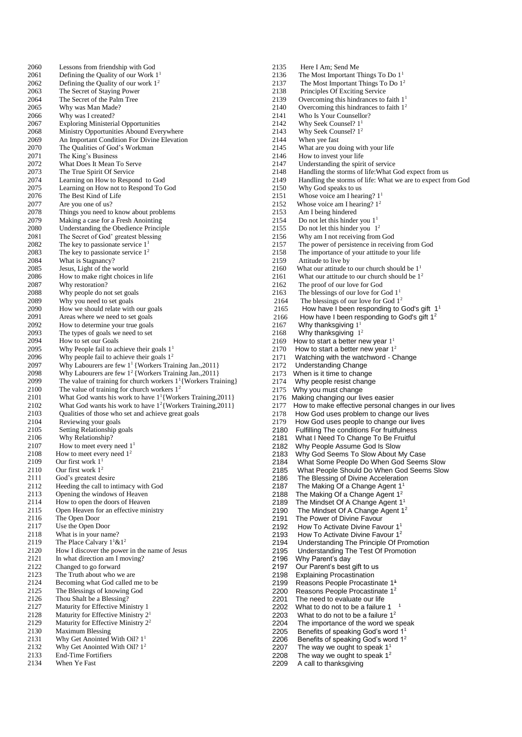2060 Lessons from friendship with God<br>2061 Defining the Quality of our Work 1 2061 Defining the Quality of our Work  $1^1$ <br>2062 Defining the Quality of our work  $1^2$ 2062 Defining the Quality of our work  $1^2$ <br>2063 The Secret of Staying Power 2063 The Secret of Staying Power<br>2064 The Secret of the Palm Tree The Secret of the Palm Tree 2065 Why was Man Made? 2066 Why was I created? 2067 Exploring Ministerial Opportunities<br>2068 Ministry Opportunities Abound Eve Ministry Opportunities Abound Everywhere 2069 An Important Condition For Divine Elevation<br>2070 The Qualities of God's Workman The Qualities of God's Workman 2071 The King's Business 2072 What Does It Mean To Serve 2073 The True Spirit Of Service<br>2074 Learning on How to Respo 2074 Learning on How to Respond to God<br>2075 Learning on How not to Respond To C 2075 Learning on How not to Respond To God<br>2076 The Best Kind of Life The Best Kind of Life 2077 Are you one of us? 2078 Things you need to know about problems<br>2079 Making a case for a Fresh Anointing Making a case for a Fresh Anointing 2080 Understanding the Obedience Principle<br>2081 The Secret of God' greatest blessing 2081 The Secret of God' greatest blessing<br>
2082 The key to passionate service  $1<sup>1</sup>$ 2082 The key to passionate service  $1<sup>1</sup>$ <br>2083 The key to passionate service  $1<sup>2</sup>$ The key to passionate service  $1^2$ 2084 What is Stagnancy?<br>2085 Jesus, Light of the w 2085 Jesus, Light of the world<br>  $2085$  How to make right choic 2086 How to make right choices in life<br>2087 Why restoration? 2087 Why restoration?<br>2088 Why people do no 2088 Why people do not set goals<br>2089 Why you need to set goals Why you need to set goals 2090 How we should relate with our goals<br>2091 Areas where we need to set goals 2091 Areas where we need to set goals<br>2092 How to determine your true goals How to determine your true goals 2093 The types of goals we need to set<br>2094 How to set our Goals 2094 How to set our Goals<br>2095 Why People fail to ac Why People fail to achieve their goals  $1<sup>1</sup>$ 2096 Why people fail to achieve their goals  $1<sup>2</sup>$ 2097 Why Labourers are few  $1^1$  {Workers Training Jan., 2011} 2098 Why Labourers are few  $1^2$  {Workers Training Jan., 2011} 2099 The value of training for church workers  $1^1$ {Workers Training} 2100 The value of training for church workers  $1^2$ <br>2101 What God wants his work to have  $1^1$ {Work 2101 What God wants his work to have  $1^1$ {Workers Training, 2011} 2102 What God wants his work to have  $1^2$ {Workers Training, 2011} 2103 Qualities of those who set and achieve great goals 2104 Reviewing your goals<br>2105 Setting Relationship g 2105 Setting Relationship goals<br>2106 Why Relationship? Why Relationship? 2107 How to meet every need  $1^1$ <br>2108 How to meet every need  $1^2$ 2108 How to meet every need  $1^2$ <br>2109 Our first work  $1^1$ Our first work  $1<sup>1</sup>$ 2110 Our first work 1<sup>2</sup> 2111 God's greatest desire<br>2112 Heeding the call to in 2112 Heeding the call to intimacy with God<br>2113 Opening the windows of Heaven Opening the windows of Heaven 2114 How to open the doors of Heaven 2115 Open Heaven for an effective ministry<br>2116 The Open Door The Open Door 2117 Use the Open Door 2118 What is in your name? 2119 The Place Calvary  $1^1 \& 1^2$ <br>2120 How I discover the power 2120 How I discover the power in the name of Jesus<br>2121 In what direction am I moving? In what direction am I moving? 2122 Changed to go forward<br>2123 The Truth about who w 2123 The Truth about who we are<br>2124 Becoming what God called r Becoming what God called me to be 2125 The Blessings of knowing God 2126 Thou Shalt be a Blessing?<br>2127 Maturity for Effective Mir Maturity for Effective Ministry 1 2128 Maturity for Effective Ministry 2<sup>1</sup> 2129 Maturity for Effective Ministry 2<sup>2</sup> 2130 Maximum Blessing<br>2131 Why Get Anointed 2131 Why Get Anointed With Oil?  $1^1$ <br>2132 Why Get Anointed With Oil?  $1^2$ Why Get Anointed With Oil?  $1<sup>2</sup>$ 2133 End-Time Fortifiers<br>2134 When Ye Fast

When Ye Fast

2135 Here I Am; Send Me<br>2136 The Most Important T 2136 The Most Important Things To Do  $1^1$ <br>2137 The Most Important Things To Do  $1^2$ 2137 The Most Important Things To Do 1<sup>2</sup><br>2138 Principles Of Exciting Service 2138 Principles Of Exciting Service<br>2139 Overcoming this hindrances to Overcoming this hindrances to faith  $1<sup>1</sup>$ 2140 Overcoming this hindrances to faith 1<sup>2</sup> 2141 Who Is Your Counsellor?<br>2142 Why Seek Counsel?  $1^1$ 2142 Why Seek Counsel?  $1^1$ <br>2143 Why Seek Counsel?  $1^2$ 2143 Why Seek Counsel?  $1^2$ <br>2144 When yee fast 2144 When yee fast<br>2145 What are you 2145 What are you doing with your life<br>2146 How to invest your life How to invest your life 2147 Understanding the spirit of service<br>2148 Handling the storms of life: What C 2148 Handling the storms of life: What God expect from us<br>2149 Handling the storms of life: What we are to expect from 2149 Handling the storms of life: What we are to expect from God 2150 Why God speaks to us 2150 Why God speaks to us<br>2151 Whose voice am I hear Whose voice am I hearing?  $1<sup>1</sup>$ 2152 Whose voice am I hearing?  $1^2$ 2153 Am I being hindered<br>2154 Do not let this hinder 2154 Do not let this hinder you  $1^1$ <br>2155 Do not let this hinder you 1 2155 Do not let this hinder you  $1^2$ 2156 Why am I not receiving from God<br>2157 The nower of persistence in receiv 2157 The power of persistence in receiving from God<br>2158 The importance of your attitude to your life The importance of your attitude to your life 2159 Attitude to live by<br>2160 What our attitude to 2160 What our attitude to our church should be  $1^1$ <br>2161 What our attitude to our church should be  $1^2$ 2161 What our attitude to our church should be  $1^2$ <br>2162 The proof of our love for God 2162 The proof of our love for God<br>2163 The blessings of our love for C 2163 The blessings of our love for God  $1^1$ <br>2164 The blessings of our love for God 1<sup>1</sup> The blessings of our love for God  $1<sup>2</sup>$ 2165 How have I been responding to God's gift  $1<sup>1</sup>$ 2166 How have I been responding to God's gift  $1^2$  $2167$  Why thanksgiving  $1<sup>1</sup>$ 2168 Why thanksgiving  $1<sup>2</sup>$ 2169 How to start a better new year  $1<sup>1</sup>$ 2170 How to start a better new year  $1<sup>2</sup>$ 2171 Watching with the watchword - Change 2172 Understanding Change 2173 When is it time to change 2174 Why people resist change<br>2175 Why you must change 2175 Why you must change<br>2176 Making changing our liv 2176 Making changing our lives easier<br>2177 How to make effective personal o 2177 How to make effective personal changes in our lives<br>2178 How God uses problem to change our lives How God uses problem to change our lives 2179 How God uses people to change our lives<br>2180 Fulfilling The conditions For fruitfulness 2180 Fulfilling The conditions For fruitfulness<br>2181 What I Need To Change To Be Fruitful What I Need To Change To Be Fruitful 2182 Why People Assume God Is Slow<br>2183 Why God Seems To Slow About N Why God Seems To Slow About My Case 2184 What Some People Do When God Seems Slow What People Should Do When God Seems Slow 2186 The Blessing of Divine Acceleration<br>2187 The Making Of a Change Agent 1<sup>1</sup> 2187 The Making Of a Change Agent  $1^1$ <br>2188 The Making Of a Change Agent  $1^2$ 2188 The Making Of a Change Agent 1<sup>2</sup><br>2189 The Mindset Of A Change Agent 1<sup>2</sup> 2189 The Mindset Of A Change Agent 1<sup>1</sup><br>2190 The Mindset Of A Change Agent 1<sup>1</sup> The Mindset Of A Change Agent 1<sup>2</sup> 2191 The Power of Divine Favour<br>2192 How To Activate Divine Fav 2192 How To Activate Divine Favour  $1^1$ <br>2193 How To Activate Divine Favour  $1^2$ 2193 How To Activate Divine Favour 1<sup>2</sup><br>2194 Understanding The Principle Of Pi 2194 Understanding The Principle Of Promotion<br>2195 Understanding The Test Of Promotion 2195 Understanding The Test Of Promotion<br>2196 Why Parent's day Why Parent's day 2197 Our Parent's best gift to us 2198 Explaining Procastination<br>2199 Reasons People Procastin 2199 Reasons People Procastinate  $1^4$ <br>2200 Reasons People Procastinate  $1^2$ 2200 Reasons People Procastinate  $1^2$ <br>2201 The need to evaluate our life 2201 The need to evaluate our life<br>2202 What to do not to be a failure 2202 What to do not to be a failure  $1<sup>-1</sup>$ <br>2203 What to do not to be a failure  $1<sup>2</sup>$ 

- What to do not to be a failure  $1<sup>2</sup>$
- 
- 2204 The importance of the word we speak<br>2205 Benefits of speaking God's word  $1<sup>1</sup>$
- 2205 Benefits of speaking God's word 1<br>2206 Benefits of speaking God's word 1
- 2206 Benefits of speaking God's word  $1^2$ <br>2207 The way we ought to speak  $1^1$
- 2207 The way we ought to speak  $1^1$ <br>2208 The way we ought to speak  $1^2$ The way we ought to speak  $1<sup>2</sup>$
- 2209 A call to thanksgiving
-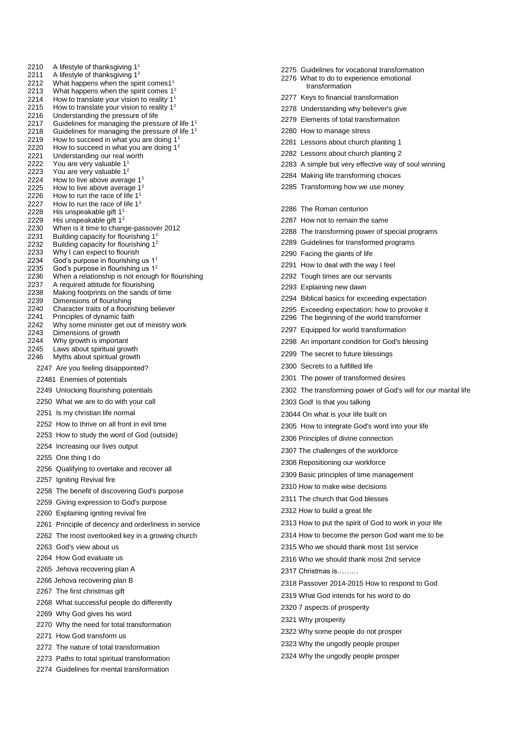2210 A lifestyle of thanksgiving 1<br>2211 A lifestyle of thanksgiving 1 2211 A lifestyle of thanksgiving  $1^2$ <br>2212 What happens when the spii 2212 What happens when the spirit comes1<sup>1</sup><br>2213 What happens when the spirit comes 1<sup>2</sup> 2213 What happens when the spirit comes  $1^2$ <br>2214 How to translate your vision to reality  $1^1$ How to translate your vision to reality  $1<sup>1</sup>$ 2215 How to translate your vision to reality  $1^2$ <br>2216 Understanding the pressure of life Understanding the pressure of life 2217 Guidelines for managing the pressure of life  $1<sup>1</sup>$ <br>2218 Guidelines for managing the pressure of life  $1<sup>2</sup>$ 2218 Guidelines for managing the pressure of life  $1^2$ <br>2219 How to succeed in what you are doing  $1^1$ 2219 How to succeed in what you are doing  $1<sup>1</sup>$ <br>2220 How to succeed in what you are doing  $1<sup>2</sup>$ How to succeed in what you are doing  $1<sup>2</sup>$ 2221 Understanding our real worth 2222 You are very valuable 1<sup>1</sup><br>2223 You are very valuable 1<sup>2</sup> You are very valuable 1<sup>2</sup> 2224 How to live above average 1<sup>1</sup> 2225 How to live above average  $1^2$ <br>2226 How to run the race of life  $1^1$ How to run the race of life  $1<sup>1</sup>$ 2227 How to run the race of life  $1^2$ 2228 His unspeakable gift  $1^1$ <br>2229 His unspeakable gift  $1^2$ 2229 His unspeakable gift  $1^2$ <br>2230 When is it time to change 2230 When is it time to change-passover 2012<br>2231 Building capacity for flourishing 1<sup>1</sup> Building capacity for flourishing 1<sup>1</sup> 2232 Building capacity for flourishing  $1^2$ <br>2233 Why I can expect to flourish Why I can expect to flourish 2234 God's purpose in flourishing us 1<sup>1</sup> 2235 God's purpose in flourishing us 1<sup>2</sup> 2236 When a relationship is not enough for flourishing<br>2237 A required attitude for flourishing 2237 A required attitude for flourishing<br>2238 Making footprints on the sands o Making footprints on the sands of time 2239 Dimensions of flourishing 2240 Character traits of a flourishing believer<br>2241 Principles of dynamic faith 2241 Principles of dynamic faith<br>2242 Why some minister get out Why some minister get out of ministry work 2243 Dimensions of growth<br>2244 Why growth is importa 2244 Why growth is important<br>2245 Laws about spiritual grov Laws about spiritual growth 2246 Myths about spiritual growth 2247 Are you feeling disappointed? 22481 Enemies of potentials 2249 Unlocking flourishing potentials 2250 What we are to do with your call 2251 Is my christian life normal 2252 How to thrive on all front in evil time 2253 How to study the word of God (outside) 2254 Increasing our lives output 2255 One thing I do 2256 Qualifying to overtake and recover all 2257 Igniting Revival fire 2258 The benefit of discovering God's purpose 2259 Giving expression to God's purpose 2260 Explaining igniting revival fire 2261 Principle of decency and orderliness in service 2262 The most overlooked key in a growing church 2263 God's view about us 2264 How God evaluate us 2265 Jehova recovering plan A 2266 Jehova recovering plan B 2267 The first christmas gift 2268 What successful people do differently 2269 Why God gives his word 2270 Why the need for total transformation 2271 How God transform us 2272 The nature of total transformation 2273 Paths to total spiritual transformation 2274 Guidelines for mental transformation

2275 Guidelines for vocational transformation 2276 What to do to experience emotional transformation 2277 Keys to financial transformation 2278 Understanding why believer's give 2279 Elements of total transformation 2280 How to manage stress 2281 Lessons about church planting 1 2282 Lessons about church planting 2 2283 A simple but very effective way of soul winning 2284 Making life transforming choices 2285 Transforming how we use money 2286 The Roman centurion 2287 How not to remain the same 2288 The transforming power of special programs 2289 Guidelines for transformed programs 2290 Facing the giants of life 2291 How to deal with the way I feel 2292 Tough times are our servants 2293 Explaining new dawn 2294 Biblical basics for exceeding expectation 2295 Exceeding expectation: how to provoke it 2296 The beginning of the world transformer 2297 Equipped for world transformation 2298 An important condition for God's blessing 2299 The secret to future blessings 2300 Secrets to a fulfilled life 2301 The power of transformed desires 2302 The transforming power of God's will for our marital life 2303 God! Is that you talking 23044 On what is your life built on 2305 How to integrate God's word into your life 2306 Principles of divine connection 2307 The challenges of the workforce 2308 Repositioning our workforce 2309 Basic principles of time management 2310 How to make wise decisions 2311 The church that God blesses 2312 How to build a great life 2313 How to put the spirit of God to work in your life 2314 How to become the person God want me to be 2315 Who we should thank most 1st service 2316 Who we should thank most 2nd service 2317 Christmas is……… 2318 Passover 2014-2015 How to respond to God 2319 What God intends for his word to do 2320 7 aspects of prosperity 2321 Why prosperity 2322 Why some people do not prosper 2323 Why the ungodly people prosper 2324 Why the ungodly people prosper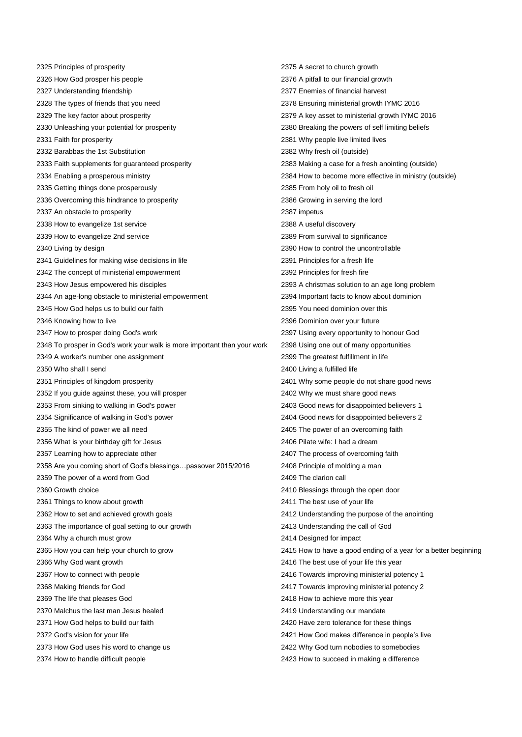2325 Principles of prosperity 2326 How God prosper his people 2327 Understanding friendship 2328 The types of friends that you need 2329 The key factor about prosperity 2330 Unleashing your potential for prosperity 2331 Faith for prosperity 2332 Barabbas the 1st Substitution 2333 Faith supplements for guaranteed prosperity 2334 Enabling a prosperous ministry 2335 Getting things done prosperously 2336 Overcoming this hindrance to prosperity 2337 An obstacle to prosperity 2338 How to evangelize 1st service 2339 How to evangelize 2nd service 2340 Living by design 2341 Guidelines for making wise decisions in life 2342 The concept of ministerial empowerment 2343 How Jesus empowered his disciples 2344 An age-long obstacle to ministerial empowerment 2345 How God helps us to build our faith 2346 Knowing how to live 2347 How to prosper doing God's work 2348 To prosper in God's work your walk is more important than your work 2349 A worker's number one assignment 2350 Who shall I send 2351 Principles of kingdom prosperity 2352 If you guide against these, you will prosper 2353 From sinking to walking in God's power 2354 Significance of walking in God's power 2355 The kind of power we all need 2356 What is your birthday gift for Jesus 2357 Learning how to appreciate other 2358 Are you coming short of God's blessings…passover 2015/2016 2359 The power of a word from God 2360 Growth choice 2361 Things to know about growth 2362 How to set and achieved growth goals 2363 The importance of goal setting to our growth 2364 Why a church must grow 2365 How you can help your church to grow 2366 Why God want growth 2367 How to connect with people 2368 Making friends for God 2369 The life that pleases God 2370 Malchus the last man Jesus healed 2371 How God helps to build our faith 2372 God's vision for your life 2373 How God uses his word to change us 2374 How to handle difficult people

2375 A secret to church growth 2376 A pitfall to our financial growth 2377 Enemies of financial harvest 2378 Ensuring ministerial growth IYMC 2016 2379 A key asset to ministerial growth IYMC 2016 2380 Breaking the powers of self limiting beliefs 2381 Why people live limited lives 2382 Why fresh oil (outside) 2383 Making a case for a fresh anointing (outside) 2384 How to become more effective in ministry (outside) 2385 From holy oil to fresh oil 2386 Growing in serving the lord 2387 impetus 2388 A useful discovery 2389 From survival to significance 2390 How to control the uncontrollable 2391 Principles for a fresh life 2392 Principles for fresh fire 2393 A christmas solution to an age long problem 2394 Important facts to know about dominion 2395 You need dominion over this 2396 Dominion over your future 2397 Using every opportunity to honour God 2398 Using one out of many opportunities 2399 The greatest fulfillment in life 2400 Living a fulfilled life 2401 Why some people do not share good news 2402 Why we must share good news 2403 Good news for disappointed believers 1 2404 Good news for disappointed believers 2 2405 The power of an overcoming faith 2406 Pilate wife: I had a dream 2407 The process of overcoming faith 2408 Principle of molding a man 2409 The clarion call 2410 Blessings through the open door 2411 The best use of your life 2412 Understanding the purpose of the anointing 2413 Understanding the call of God 2414 Designed for impact 2415 How to have a good ending of a year for a better beginning 2416 The best use of your life this year 2416 Towards improving ministerial potency 1 2417 Towards improving ministerial potency 2 2418 How to achieve more this year 2419 Understanding our mandate 2420 Have zero tolerance for these things 2421 How God makes difference in people's live 2422 Why God turn nobodies to somebodies 2423 How to succeed in making a difference